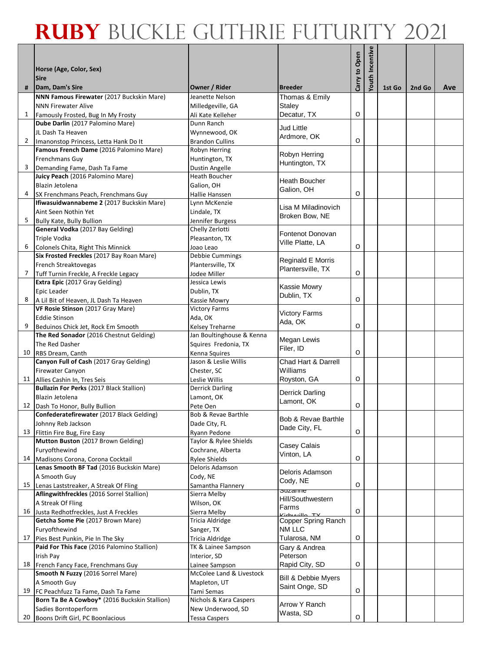|                |                                                                        |                                            |                                |               | Youth Incentive |        |        |     |
|----------------|------------------------------------------------------------------------|--------------------------------------------|--------------------------------|---------------|-----------------|--------|--------|-----|
|                | Horse (Age, Color, Sex)                                                |                                            |                                | Carry to Open |                 |        |        |     |
|                | <b>Sire</b>                                                            |                                            |                                |               |                 |        |        |     |
| #              | Dam, Dam's Sire<br>NNN Famous Firewater (2017 Buckskin Mare)           | Owner / Rider<br>Jeanette Nelson           | <b>Breeder</b>                 |               |                 | 1st Go | 2nd Go | Ave |
|                | <b>NNN Firewater Alive</b>                                             | Milledgeville, GA                          | Thomas & Emily<br>Staley       |               |                 |        |        |     |
| $\mathbf{1}$   | Famously Frosted, Bug In My Frosty                                     | Ali Kate Kelleher                          | Decatur, TX                    | O             |                 |        |        |     |
|                | Dube Darlin (2017 Palomino Mare)                                       | Dunn Ranch                                 |                                |               |                 |        |        |     |
|                | JL Dash Ta Heaven                                                      | Wynnewood, OK                              | Jud Little<br>Ardmore, OK      |               |                 |        |        |     |
| $\overline{2}$ | Imanonstop Princess, Letta Hank Do It                                  | <b>Brandon Cullins</b>                     |                                | O             |                 |        |        |     |
|                | Famous French Dame (2016 Palomino Mare)                                | Robyn Herring                              | Robyn Herring                  |               |                 |        |        |     |
|                | Frenchmans Guy                                                         | Huntington, TX                             | Huntington, TX                 |               |                 |        |        |     |
| 3              | Demanding Fame, Dash Ta Fame<br>Juicy Peach (2016 Palomino Mare)       | Dustin Angelle<br>Heath Boucher            |                                |               |                 |        |        |     |
|                | Blazin Jetolena                                                        | Galion, OH                                 | Heath Boucher                  |               |                 |        |        |     |
| 4              | SX Frenchmans Peach, Frenchmans Guy                                    | Hallie Hanssen                             | Galion, OH                     | O             |                 |        |        |     |
|                | Ifiwasuidwannabeme 2 (2017 Buckskin Mare)                              | Lynn McKenzie                              |                                |               |                 |        |        |     |
|                | Aint Seen Nothin Yet                                                   | Lindale, TX                                | Lisa M Miladinovich            |               |                 |        |        |     |
| 5              | <b>Bully Kate, Bully Bullion</b>                                       | Jennifer Burgess                           | Broken Bow, NE                 |               |                 |        |        |     |
|                | General Vodka (2017 Bay Gelding)                                       | Chelly Zerlotti                            | Fontenot Donovan               |               |                 |        |        |     |
|                | Triple Vodka                                                           | Pleasanton, TX                             | Ville Platte, LA               |               |                 |        |        |     |
| 6              | Colonels Chita, Right This Minnick                                     | Joao Leao                                  |                                | O             |                 |        |        |     |
|                | Six Frosted Freckles (2017 Bay Roan Mare)<br>French Streaktovegas      | Debbie Cummings<br>Plantersville, TX       | Reginald E Morris              |               |                 |        |        |     |
| 7              | Tuff Turnin Freckle, A Freckle Legacy                                  | Jodee Miller                               | Plantersville, TX              | O             |                 |        |        |     |
|                | Extra Epic (2017 Gray Gelding)                                         | Jessica Lewis                              |                                |               |                 |        |        |     |
|                | Epic Leader                                                            | Dublin, TX                                 | Kassie Mowry                   |               |                 |        |        |     |
| 8              | A Lil Bit of Heaven, JL Dash Ta Heaven                                 | Kassie Mowry                               | Dublin, TX                     | O             |                 |        |        |     |
|                | VF Rosie Stinson (2017 Gray Mare)                                      | <b>Victory Farms</b>                       | <b>Victory Farms</b>           |               |                 |        |        |     |
|                | <b>Eddie Stinson</b>                                                   | Ada, OK                                    | Ada, OK                        |               |                 |        |        |     |
| 9              | Beduinos Chick Jet, Rock Em Smooth                                     | Kelsey Treharne                            |                                | O             |                 |        |        |     |
|                | The Red Sonador (2016 Chestnut Gelding)                                | Jan Boultinghouse & Kenna                  | Megan Lewis                    |               |                 |        |        |     |
| 10             | The Red Dasher<br>RBS Dream, Canth                                     | Squires Fredonia, TX<br>Kenna Squires      | Filer, ID                      | O             |                 |        |        |     |
|                | Canyon Full of Cash (2017 Gray Gelding)                                | Jason & Leslie Willis                      | Chad Hart & Darrell            |               |                 |        |        |     |
|                | Firewater Canyon                                                       | Chester, SC                                | Williams                       |               |                 |        |        |     |
|                | 11 Allies Cashin In, Tres Seis                                         | Leslie Willis                              | Royston, GA                    | O             |                 |        |        |     |
|                | Bullazin For Perks (2017 Black Stallion)                               | <b>Derrick Darling</b>                     | Derrick Darling                |               |                 |        |        |     |
|                | Blazin Jetolena                                                        | Lamont, OK                                 | Lamont, OK                     |               |                 |        |        |     |
| 12             | Dash To Honor, Bully Bullion                                           | Pete Oen                                   |                                | O             |                 |        |        |     |
|                | Confederatefirewater (2017 Black Gelding)<br>Johnny Reb Jackson        | Bob & Revae Barthle<br>Dade City, FL       | Bob & Revae Barthle            |               |                 |        |        |     |
| 13             | Flittin Fire Bug, Fire Easy                                            | Ryann Pedone                               | Dade City, FL                  | $\mathsf O$   |                 |        |        |     |
|                | Mutton Buston (2017 Brown Gelding)                                     | Taylor & Rylee Shields                     |                                |               |                 |        |        |     |
|                | Furyofthewind                                                          | Cochrane, Alberta                          | Casey Calais                   |               |                 |        |        |     |
| 14             | Madisons Corona, Corona Cocktail                                       | <b>Rylee Shields</b>                       | Vinton, LA                     | O             |                 |        |        |     |
|                | Lenas Smooth BF Tad (2016 Buckskin Mare)                               | Deloris Adamson                            | Deloris Adamson                |               |                 |        |        |     |
|                | A Smooth Guy                                                           | Cody, NE                                   | Cody, NE                       |               |                 |        |        |     |
| 15             | Lenas Laststreaker, A Streak Of Fling                                  | Samantha Flannery                          | ວu∠ame                         | O             |                 |        |        |     |
|                | Aflingwithfreckles (2016 Sorrel Stallion)<br>A Streak Of Fling         | Sierra Melby<br>Wilson, OK                 | Hill/Southwestern              |               |                 |        |        |     |
|                | 16 Justa Redhotfreckles, Just A Freckles                               | Sierra Melby                               | Farms                          | O             |                 |        |        |     |
|                | Getcha Some Pie (2017 Brown Mare)                                      | Tricia Aldridge                            | Copper Spring Ranch            |               |                 |        |        |     |
|                | Furyofthewind                                                          | Sanger, TX                                 | NM LLC                         |               |                 |        |        |     |
| 17             | Pies Best Punkin, Pie In The Sky                                       | Tricia Aldridge                            | Tularosa, NM                   | $\mathsf O$   |                 |        |        |     |
|                | Paid For This Face (2016 Palomino Stallion)                            | TK & Lainee Sampson                        | Gary & Andrea                  |               |                 |        |        |     |
|                | Irish Pay                                                              | Interior, SD                               | Peterson                       |               |                 |        |        |     |
| 18             | French Fancy Face, Frenchmans Guy<br>Smooth N Fuzzy (2016 Sorrel Mare) | Lainee Sampson<br>McColee Land & Livestock | Rapid City, SD                 | O             |                 |        |        |     |
|                | A Smooth Guy                                                           | Mapleton, UT                               | <b>Bill &amp; Debbie Myers</b> |               |                 |        |        |     |
| 19             | FC Peachfuzz Ta Fame, Dash Ta Fame                                     | Tami Semas                                 | Saint Onge, SD                 | $\mathsf O$   |                 |        |        |     |
|                | Born Ta Be A Cowboy* (2016 Buckskin Stallion)                          | Nichols & Kara Caspers                     |                                |               |                 |        |        |     |
|                | Sadies Borntoperform                                                   | New Underwood, SD                          | Arrow Y Ranch                  |               |                 |        |        |     |
| 20             | Boons Drift Girl, PC Boonlacious                                       | <b>Tessa Caspers</b>                       | Wasta, SD                      | O             |                 |        |        |     |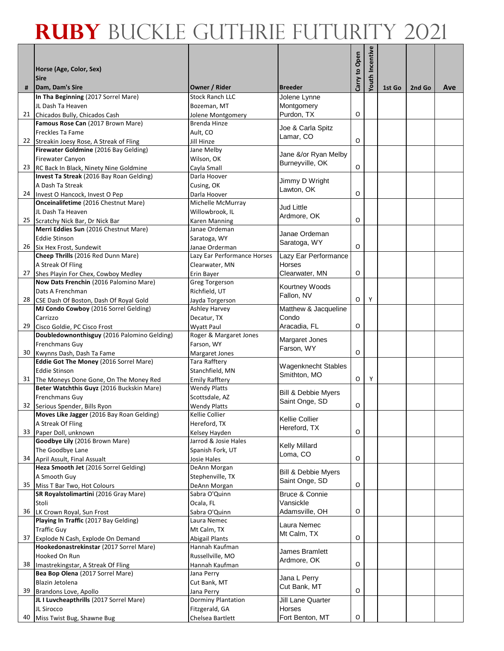|    |                                                                                       |                                                |                                       |               | Youth Incentive |        |        |     |
|----|---------------------------------------------------------------------------------------|------------------------------------------------|---------------------------------------|---------------|-----------------|--------|--------|-----|
|    | Horse (Age, Color, Sex)                                                               |                                                |                                       | Carry to Open |                 |        |        |     |
|    | <b>Sire</b>                                                                           |                                                |                                       |               |                 |        |        |     |
| #  | Dam, Dam's Sire<br>In Tha Beginning (2017 Sorrel Mare)                                | <b>Owner / Rider</b><br><b>Stock Ranch LLC</b> | <b>Breeder</b><br>Jolene Lynne        |               |                 | 1st Go | 2nd Go | Ave |
|    | JL Dash Ta Heaven                                                                     | Bozeman, MT                                    | Montgomery                            |               |                 |        |        |     |
|    | 21 Chicados Bully, Chicados Cash                                                      | Jolene Montgomery                              | Purdon, TX                            | O             |                 |        |        |     |
|    | Famous Rose Can (2017 Brown Mare)                                                     | Brenda Hinze                                   |                                       |               |                 |        |        |     |
|    | Freckles Ta Fame                                                                      | Ault, CO                                       | Joe & Carla Spitz<br>Lamar, CO        |               |                 |        |        |     |
|    | 22 Streakin Joesy Rose, A Streak of Fling                                             | Jill Hinze                                     |                                       | O             |                 |        |        |     |
|    | Firewater Goldmine (2016 Bay Gelding)                                                 | Jane Melby                                     | Jane &/or Ryan Melby                  |               |                 |        |        |     |
|    | Firewater Canyon                                                                      | Wilson, OK                                     | Burneyville, OK                       | O             |                 |        |        |     |
|    | 23 RC Back In Black, Ninety Nine Goldmine<br>Invest Ta Streak (2016 Bay Roan Gelding) | Cayla Small<br>Darla Hoover                    |                                       |               |                 |        |        |     |
|    | A Dash Ta Streak                                                                      | Cusing, OK                                     | Jimmy D Wright                        |               |                 |        |        |     |
|    | 24 Invest O Hancock, Invest O Pep                                                     | Darla Hoover                                   | Lawton, OK                            | O             |                 |        |        |     |
|    | Onceinalifetime (2016 Chestnut Mare)                                                  | Michelle McMurray                              |                                       |               |                 |        |        |     |
|    | JL Dash Ta Heaven                                                                     | Willowbrook, IL                                | <b>Jud Little</b><br>Ardmore, OK      |               |                 |        |        |     |
|    | 25 Scratchy Nick Bar, Dr Nick Bar                                                     | Karen Manning                                  |                                       | O             |                 |        |        |     |
|    | Merri Eddies Sun (2016 Chestnut Mare)                                                 | Janae Ordeman                                  | Janae Ordeman                         |               |                 |        |        |     |
|    | <b>Eddie Stinson</b>                                                                  | Saratoga, WY                                   | Saratoga, WY                          |               |                 |        |        |     |
|    | 26 Six Hex Frost, Sundewit                                                            | Janae Orderman<br>Lazy Ear Performance Horses  |                                       | O             |                 |        |        |     |
|    | Cheep Thrills (2016 Red Dunn Mare)<br>A Streak Of Fling                               | Clearwater, MN                                 | Lazy Ear Performance<br><b>Horses</b> |               |                 |        |        |     |
|    | 27 Shes Playin For Chex, Cowboy Medley                                                | Erin Bayer                                     | Clearwater, MN                        | O             |                 |        |        |     |
|    | Now Dats Frenchin (2016 Palomino Mare)                                                | Greg Torgerson                                 |                                       |               |                 |        |        |     |
|    | Dats A Frenchman                                                                      | Richfield, UT                                  | Kourtney Woods                        |               |                 |        |        |     |
| 28 | CSE Dash Of Boston, Dash Of Royal Gold                                                | Jayda Torgerson                                | Fallon, NV                            | O             | Y               |        |        |     |
|    | MJ Condo Cowboy (2016 Sorrel Gelding)                                                 | Ashley Harvey                                  | Matthew & Jacqueline                  |               |                 |        |        |     |
|    | Carrizzo                                                                              | Decatur, TX                                    | Condo                                 |               |                 |        |        |     |
| 29 | Cisco Goldie, PC Cisco Frost                                                          | Wyatt Paul                                     | Aracadia, FL                          | O             |                 |        |        |     |
|    | Doubledownonthisguy (2016 Palomino Gelding)<br>Frenchmans Guy                         | Roger & Margaret Jones<br>Farson, WY           | Margaret Jones                        |               |                 |        |        |     |
| 30 | Kwynns Dash, Dash Ta Fame                                                             | Margaret Jones                                 | Farson, WY                            | O             |                 |        |        |     |
|    | Eddie Got The Money (2016 Sorrel Mare)                                                | Tara Rafftery                                  |                                       |               |                 |        |        |     |
|    | <b>Eddie Stinson</b>                                                                  | Stanchfield, MN                                | <b>Wagenknecht Stables</b>            |               |                 |        |        |     |
|    | 31 The Moneys Done Gone, On The Money Red                                             | <b>Emily Rafftery</b>                          | Smithton, MO                          | O             | Υ               |        |        |     |
|    | Beter Watchthis Guyz (2016 Buckskin Mare)                                             | <b>Wendy Platts</b>                            | <b>Bill &amp; Debbie Myers</b>        |               |                 |        |        |     |
|    | Frenchmans Guy                                                                        | Scottsdale, AZ                                 | Saint Onge, SD                        |               |                 |        |        |     |
|    | 32 Serious Spender, Bills Ryon                                                        | <b>Wendy Platts</b>                            |                                       | O             |                 |        |        |     |
|    | Moves Like Jagger (2016 Bay Roan Gelding)<br>A Streak Of Fling                        | Kellie Collier<br>Hereford, TX                 | Kellie Collier                        |               |                 |        |        |     |
| 33 | Paper Doll, unknown                                                                   | Kelsey Hayden                                  | Hereford, TX                          | O             |                 |        |        |     |
|    | Goodbye Lily (2016 Brown Mare)                                                        | Jarrod & Josie Hales                           |                                       |               |                 |        |        |     |
|    | The Goodbye Lane                                                                      | Spanish Fork, UT                               | <b>Kelly Millard</b><br>Loma, CO      |               |                 |        |        |     |
|    | 34 April Assult, Final Assualt                                                        | Josie Hales                                    |                                       | O             |                 |        |        |     |
|    | Heza Smooth Jet (2016 Sorrel Gelding)                                                 | DeAnn Morgan                                   | <b>Bill &amp; Debbie Myers</b>        |               |                 |        |        |     |
|    | A Smooth Guy                                                                          | Stephenville, TX                               | Saint Onge, SD                        |               |                 |        |        |     |
|    | 35 Miss T Bar Two, Hot Colours                                                        | DeAnn Morgan                                   |                                       | O             |                 |        |        |     |
|    | SR Royalstolimartini (2016 Gray Mare)<br>Stoli                                        | Sabra O'Quinn<br>Ocala, FL                     | Bruce & Connie<br>Vansickle           |               |                 |        |        |     |
|    | 36 LK Crown Royal, Sun Frost                                                          | Sabra O'Quinn                                  | Adamsville, OH                        | O             |                 |        |        |     |
|    | Playing In Traffic (2017 Bay Gelding)                                                 | Laura Nemec                                    |                                       |               |                 |        |        |     |
|    | <b>Traffic Guy</b>                                                                    | Mt Calm, TX                                    | Laura Nemec                           |               |                 |        |        |     |
| 37 | Explode N Cash, Explode On Demand                                                     | <b>Abigail Plants</b>                          | Mt Calm, TX                           | O             |                 |        |        |     |
|    | Hookedonastrekinstar (2017 Sorrel Mare)                                               | Hannah Kaufman                                 | James Bramlett                        |               |                 |        |        |     |
|    | Hooked On Run                                                                         | Russellville, MO                               | Ardmore, OK                           |               |                 |        |        |     |
| 38 | Imastrekingstar, A Streak Of Fling                                                    | Hannah Kaufman                                 |                                       | O             |                 |        |        |     |
|    | Bea Bop Olena (2017 Sorrel Mare)<br>Blazin Jetolena                                   | Jana Perry<br>Cut Bank, MT                     | Jana L Perry                          |               |                 |        |        |     |
| 39 | Brandons Love, Apollo                                                                 | Jana Perry                                     | Cut Bank, MT                          | O             |                 |        |        |     |
|    | JL I Luvcheapthrills (2017 Sorrel Mare)                                               | Dorminy Plantation                             | Jill Lane Quarter                     |               |                 |        |        |     |
|    | JL Sirocco                                                                            | Fitzgerald, GA                                 | Horses                                |               |                 |        |        |     |
| 40 | Miss Twist Bug, Shawne Bug                                                            | Chelsea Bartlett                               | Fort Benton, MT                       | O             |                 |        |        |     |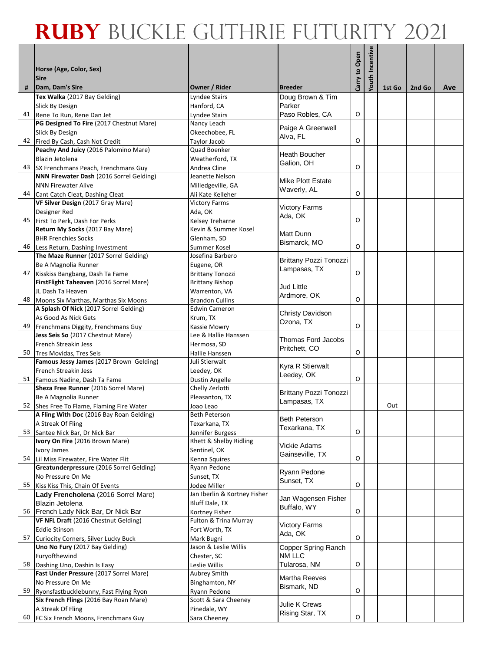|    |                                                                                       |                                        |                                    |               | Youth Incentive |        |        |     |
|----|---------------------------------------------------------------------------------------|----------------------------------------|------------------------------------|---------------|-----------------|--------|--------|-----|
|    | Horse (Age, Color, Sex)                                                               |                                        |                                    | Carry to Open |                 |        |        |     |
|    | <b>Sire</b>                                                                           |                                        |                                    |               |                 |        |        |     |
| #  | Dam, Dam's Sire                                                                       | Owner / Rider                          | <b>Breeder</b>                     |               |                 | 1st Go | 2nd Go | Ave |
|    | Tex Walka (2017 Bay Gelding)                                                          | Lyndee Stairs                          | Doug Brown & Tim                   |               |                 |        |        |     |
|    | Slick By Design<br>41 Rene To Run, Rene Dan Jet                                       | Hanford, CA<br>Lyndee Stairs           | Parker<br>Paso Robles, CA          | O             |                 |        |        |     |
|    | PG Designed To Fire (2017 Chestnut Mare)                                              | Nancy Leach                            |                                    |               |                 |        |        |     |
|    | Slick By Design                                                                       | Okeechobee, FL                         | Paige A Greenwell                  |               |                 |        |        |     |
|    | 42 Fired By Cash, Cash Not Credit                                                     | Taylor Jacob                           | Alva, FL                           | O             |                 |        |        |     |
|    | Peachy And Juicy (2016 Palomino Mare)                                                 | Quad Boenker                           | Heath Boucher                      |               |                 |        |        |     |
|    | Blazin Jetolena                                                                       | Weatherford, TX                        | Galion, OH                         |               |                 |        |        |     |
|    | 43 SX Frenchmans Peach, Frenchmans Guy                                                | Andrea Cline                           |                                    | O             |                 |        |        |     |
|    | NNN Firewater Dash (2016 Sorrel Gelding)<br><b>NNN Firewater Alive</b>                | Jeanette Nelson                        | Mike Plott Estate                  |               |                 |        |        |     |
|    | 44 Cant Catch Cleat, Dashing Cleat                                                    | Milledgeville, GA<br>Ali Kate Kelleher | Waverly, AL                        | O             |                 |        |        |     |
|    | VF Silver Design (2017 Gray Mare)                                                     | <b>Victory Farms</b>                   |                                    |               |                 |        |        |     |
|    | Designer Red                                                                          | Ada, OK                                | <b>Victory Farms</b>               |               |                 |        |        |     |
|    | 45 First To Perk, Dash For Perks                                                      | Kelsey Treharne                        | Ada, OK                            | O             |                 |        |        |     |
|    | Return My Socks (2017 Bay Mare)                                                       | Kevin & Summer Kosel                   | Matt Dunn                          |               |                 |        |        |     |
|    | <b>BHR Frenchies Socks</b>                                                            | Glenham, SD                            | Bismarck, MO                       |               |                 |        |        |     |
|    | 46 Less Return, Dashing Investment                                                    | Summer Kosel                           |                                    | O             |                 |        |        |     |
|    | The Maze Runner (2017 Sorrel Gelding)<br>Be A Magnolia Runner                         | Josefina Barbero<br>Eugene, OR         | Brittany Pozzi Tonozzi             |               |                 |        |        |     |
|    | 47 Kisskiss Bangbang, Dash Ta Fame                                                    | <b>Brittany Tonozzi</b>                | Lampasas, TX                       | O             |                 |        |        |     |
|    | FirstFlight Taheaven (2016 Sorrel Mare)                                               | <b>Brittany Bishop</b>                 |                                    |               |                 |        |        |     |
|    | JL Dash Ta Heaven                                                                     | Warrenton, VA                          | Jud Little                         |               |                 |        |        |     |
|    | 48 Moons Six Marthas, Marthas Six Moons                                               | <b>Brandon Cullins</b>                 | Ardmore, OK                        | O             |                 |        |        |     |
|    | A Splash Of Nick (2017 Sorrel Gelding)                                                | <b>Edwin Cameron</b>                   | Christy Davidson                   |               |                 |        |        |     |
|    | As Good As Nick Gets                                                                  | Krum, TX                               | Ozona, TX                          |               |                 |        |        |     |
| 49 | Frenchmans Diggity, Frenchmans Guy                                                    | Kassie Mowry                           |                                    | O             |                 |        |        |     |
|    | Jess Seis So (2017 Chestnut Mare)<br>French Streakin Jess                             | Lee & Hallie Hanssen<br>Hermosa, SD    | Thomas Ford Jacobs                 |               |                 |        |        |     |
|    | 50 Tres Movidas, Tres Seis                                                            | Hallie Hanssen                         | Pritchett, CO                      | O             |                 |        |        |     |
|    | Famous Jessy James (2017 Brown Gelding)                                               | Juli Stierwalt                         |                                    |               |                 |        |        |     |
|    | French Streakin Jess                                                                  | Leedey, OK                             | Kyra R Stierwalt<br>Leedey, OK     |               |                 |        |        |     |
|    | 51 Famous Nadine, Dash Ta Fame                                                        | Dustin Angelle                         |                                    | O             |                 |        |        |     |
|    | Sheza Free Runner (2016 Sorrel Mare)                                                  | Chelly Zerlotti                        | Brittany Pozzi Tonozzi             |               |                 |        |        |     |
|    | Be A Magnolia Runner                                                                  | Pleasanton, TX                         | Lampasas, TX                       |               |                 | Out    |        |     |
|    | 52 Shes Free To Flame, Flaming Fire Water<br>A Fling With Doc (2016 Bay Roan Gelding) | Joao Leao<br>Beth Peterson             |                                    |               |                 |        |        |     |
|    | A Streak Of Fling                                                                     | Texarkana, TX                          | Beth Peterson                      |               |                 |        |        |     |
|    | 53 Santee Nick Bar, Dr Nick Bar                                                       | Jennifer Burgess                       | Texarkana, TX                      | O             |                 |        |        |     |
|    | Ivory On Fire (2016 Brown Mare)                                                       | Rhett & Shelby Ridling                 | Vickie Adams                       |               |                 |        |        |     |
|    | Ivory James                                                                           | Sentinel, OK                           | Gainseville, TX                    |               |                 |        |        |     |
|    | 54 Lil Miss Firewater, Fire Water Flit                                                | Kenna Squires                          |                                    | O             |                 |        |        |     |
|    | Greatunderpressure (2016 Sorrel Gelding)<br>No Pressure On Me                         | Ryann Pedone<br>Sunset, TX             | Ryann Pedone                       |               |                 |        |        |     |
|    | 55 Kiss Kiss This, Chain Of Events                                                    | Jodee Miller                           | Sunset, TX                         | O             |                 |        |        |     |
|    | Lady Frencholena (2016 Sorrel Mare)                                                   | Jan Iberlin & Kortney Fisher           |                                    |               |                 |        |        |     |
|    | <b>Blazin Jetolena</b>                                                                | Bluff Dale, TX                         | Jan Wagensen Fisher<br>Buffalo, WY |               |                 |        |        |     |
|    | 56 French Lady Nick Bar, Dr Nick Bar                                                  | Kortney Fisher                         |                                    | $\mathsf O$   |                 |        |        |     |
|    | VF NFL Draft (2016 Chestnut Gelding)                                                  | Fulton & Trina Murray                  | <b>Victory Farms</b>               |               |                 |        |        |     |
|    | <b>Eddie Stinson</b>                                                                  | Fort Worth, TX                         | Ada, OK                            | O             |                 |        |        |     |
| 57 | Curiocity Corners, Silver Lucky Buck<br>Uno No Fury (2017 Bay Gelding)                | Mark Bugni<br>Jason & Leslie Willis    | Copper Spring Ranch                |               |                 |        |        |     |
|    | Furyofthewind                                                                         | Chester, SC                            | NM LLC                             |               |                 |        |        |     |
| 58 | Dashing Uno, Dashin Is Easy                                                           | Leslie Willis                          | Tularosa, NM                       | O             |                 |        |        |     |
|    | Fast Under Pressure (2017 Sorrel Mare)                                                | Aubrey Smith                           | Martha Reeves                      |               |                 |        |        |     |
|    | No Pressure On Me                                                                     | Binghamton, NY                         | Bismark, ND                        |               |                 |        |        |     |
| 59 | Ryonsfastbucklebunny, Fast Flying Ryon                                                | Ryann Pedone                           |                                    | O             |                 |        |        |     |
|    | Six French Flings (2016 Bay Roan Mare)<br>A Streak Of Fling                           | Scott & Sara Cheeney<br>Pinedale, WY   | Julie K Crews                      |               |                 |        |        |     |
| 60 | FC Six French Moons, Frenchmans Guy                                                   | Sara Cheeney                           | Rising Star, TX                    | O             |                 |        |        |     |
|    |                                                                                       |                                        |                                    |               |                 |        |        |     |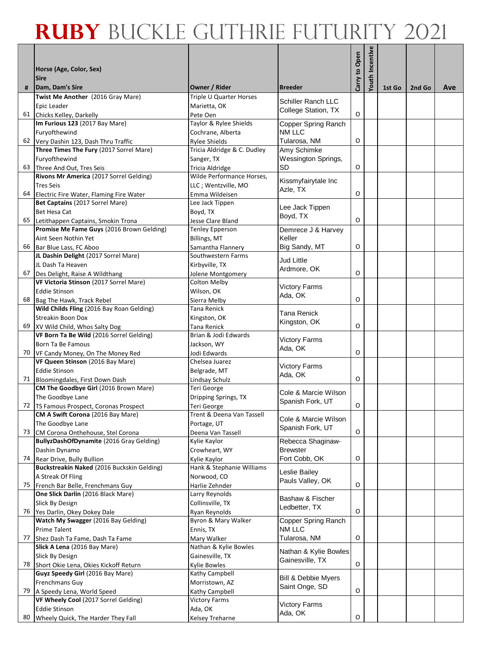|    |                                                                               |                                        |                                | Carry to Open | Youth Incentive |        |        |     |
|----|-------------------------------------------------------------------------------|----------------------------------------|--------------------------------|---------------|-----------------|--------|--------|-----|
|    | Horse (Age, Color, Sex)<br><b>Sire</b>                                        |                                        |                                |               |                 |        |        |     |
| #  | Dam, Dam's Sire                                                               | Owner / Rider                          | <b>Breeder</b>                 |               |                 | 1st Go | 2nd Go | Ave |
|    | Twist Me Another (2016 Gray Mare)                                             | Triple U Quarter Horses                | <b>Schiller Ranch LLC</b>      |               |                 |        |        |     |
|    | Epic Leader                                                                   | Marietta, OK                           | College Station, TX            |               |                 |        |        |     |
|    | 61 Chicks Kelley, Darkelly<br>Im Furious 123 (2017 Bay Mare)                  | Pete Oen<br>Taylor & Rylee Shields     |                                | O             |                 |        |        |     |
|    | Furyofthewind                                                                 | Cochrane, Alberta                      | Copper Spring Ranch<br>NM LLC  |               |                 |        |        |     |
|    | 62 Very Dashin 123, Dash Thru Traffic                                         | Rylee Shields                          | Tularosa, NM                   | O             |                 |        |        |     |
|    | Three Times The Fury (2017 Sorrel Mare)                                       | Tricia Aldridge & C. Dudley            | Amy Schimke                    |               |                 |        |        |     |
|    | Furyofthewind                                                                 | Sanger, TX                             | <b>Wessington Springs,</b>     |               |                 |        |        |     |
|    | 63 Three And Out, Tres Seis                                                   | Tricia Aldridge                        | SD                             | O             |                 |        |        |     |
|    | Rivons Mr America (2017 Sorrel Gelding)                                       | Wilde Performance Horses,              | Kissmyfairytale Inc            |               |                 |        |        |     |
|    | <b>Tres Seis</b>                                                              | LLC; Wentzville, MO                    | Azle, TX                       |               |                 |        |        |     |
|    | 64 Electric Fire Water, Flaming Fire Water<br>Bet Captains (2017 Sorrel Mare) | Emma Wildeisen<br>Lee Jack Tippen      |                                | O             |                 |        |        |     |
|    | Bet Hesa Cat                                                                  | Boyd, TX                               | Lee Jack Tippen                |               |                 |        |        |     |
|    | 65 Letithappen Captains, Smokin Trona                                         | Jesse Clare Bland                      | Boyd, TX                       | O             |                 |        |        |     |
|    | Promise Me Fame Guys (2016 Brown Gelding)                                     | <b>Tenley Epperson</b>                 | Demrece J & Harvey             |               |                 |        |        |     |
|    | Aint Seen Nothin Yet                                                          | Billings, MT                           | Keller                         |               |                 |        |        |     |
|    | 66 Bar Blue Lass, FC Aboo                                                     | Samantha Flannery                      | Big Sandy, MT                  | O             |                 |        |        |     |
|    | JL Dashin Delight (2017 Sorrel Mare)                                          | Southwestern Farms                     | Jud Little                     |               |                 |        |        |     |
|    | JL Dash Ta Heaven                                                             | Kirbyville, TX                         | Ardmore, OK                    | O             |                 |        |        |     |
|    | 67 Des Delight, Raise A Wildthang<br>VF Victoria Stinson (2017 Sorrel Mare)   | Jolene Montgomery<br>Colton Melby      |                                |               |                 |        |        |     |
|    | <b>Eddie Stinson</b>                                                          | Wilson, OK                             | <b>Victory Farms</b>           |               |                 |        |        |     |
|    | 68 Bag The Hawk, Track Rebel                                                  | Sierra Melby                           | Ada, OK                        | O             |                 |        |        |     |
|    | Wild Childs Fling (2016 Bay Roan Gelding)                                     | Tana Renick                            |                                |               |                 |        |        |     |
|    | Streakin Boon Dox                                                             | Kingston, OK                           | Tana Renick<br>Kingston, OK    |               |                 |        |        |     |
|    | 69 XV Wild Child, Whos Salty Dog                                              | Tana Renick                            |                                | O             |                 |        |        |     |
|    | VF Born Ta Be Wild (2016 Sorrel Gelding)                                      | Brian & Jodi Edwards                   | <b>Victory Farms</b>           |               |                 |        |        |     |
| 70 | Born Ta Be Famous                                                             | Jackson, WY                            | Ada, OK                        | O             |                 |        |        |     |
|    | VF Candy Money, On The Money Red<br>VF Queen Stinson (2016 Bay Mare)          | Jodi Edwards<br>Chelsea Juarez         |                                |               |                 |        |        |     |
|    | <b>Eddie Stinson</b>                                                          | Belgrade, MT                           | <b>Victory Farms</b>           |               |                 |        |        |     |
|    | 71 Bloomingdales, First Down Dash                                             | Lindsay Schulz                         | Ada, OK                        | O             |                 |        |        |     |
|    | CM The Goodbye Girl (2016 Brown Mare)                                         | Teri George                            | Cole & Marcie Wilson           |               |                 |        |        |     |
|    | The Goodbye Lane                                                              | Dripping Springs, TX                   | Spanish Fork, UT               |               |                 |        |        |     |
| 72 | TS Famous Prospect, Coronas Prospect                                          | Teri George                            |                                | O             |                 |        |        |     |
|    | <b>CM A Swift Corona</b> (2016 Bay Mare)<br>The Goodbye Lane                  | Trent & Deena Van Tassell              | Cole & Marcie Wilson           |               |                 |        |        |     |
| 73 | CM Corona Onthehouse, Stel Corona                                             | Portage, UT<br>Deena Van Tassell       | Spanish Fork, UT               | $\mathsf O$   |                 |        |        |     |
|    | BullyzDashOfDynamite (2016 Gray Gelding)                                      | Kylie Kaylor                           | Rebecca Shaginaw-              |               |                 |        |        |     |
|    | Dashin Dynamo                                                                 | Crowheart, WY                          | Brewster                       |               |                 |        |        |     |
| 74 | Rear Drive, Bully Bullion                                                     | Kylie Kaylor                           | Fort Cobb, OK                  | O             |                 |        |        |     |
|    | Buckstreakin Naked (2016 Buckskin Gelding)                                    | Hank & Stephanie Williams              | Leslie Bailey                  |               |                 |        |        |     |
|    | A Streak Of Fling                                                             | Norwood, CO                            | Pauls Valley, OK               | O             |                 |        |        |     |
|    | 75 French Bar Belle, Frenchmans Guy<br>One Slick Darlin (2016 Black Mare)     | Harlie Zehnder<br>Larry Reynolds       |                                |               |                 |        |        |     |
|    | Slick By Design                                                               | Collinsville, TX                       | Bashaw & Fischer               |               |                 |        |        |     |
|    | 76 Yes Darlin, Okey Dokey Dale                                                | Ryan Reynolds                          | Ledbetter, TX                  | O             |                 |        |        |     |
|    | Watch My Swagger (2016 Bay Gelding)                                           | Byron & Mary Walker                    | Copper Spring Ranch            |               |                 |        |        |     |
|    | Prime Talent                                                                  | Ennis, TX                              | NM LLC                         |               |                 |        |        |     |
| 77 | Shez Dash Ta Fame, Dash Ta Fame                                               | Mary Walker                            | Tularosa, NM                   | $\mathsf O$   |                 |        |        |     |
|    | Slick A Lena (2016 Bay Mare)                                                  | Nathan & Kylie Bowles                  | Nathan & Kylie Bowles          |               |                 |        |        |     |
| 78 | Slick By Design<br>Short Okie Lena, Okies Kickoff Return                      | Gainesville, TX<br><b>Kylie Bowles</b> | Gainesville, TX                | O             |                 |        |        |     |
|    | Guyz Speedy Girl (2016 Bay Mare)                                              | Kathy Campbell                         |                                |               |                 |        |        |     |
|    | Frenchmans Guy                                                                | Morristown, AZ                         | <b>Bill &amp; Debbie Myers</b> |               |                 |        |        |     |
| 79 | A Speedy Lena, World Speed                                                    | Kathy Campbell                         | Saint Onge, SD                 | O             |                 |        |        |     |
|    | VF Wheely Cool (2017 Sorrel Gelding)                                          | <b>Victory Farms</b>                   | <b>Victory Farms</b>           |               |                 |        |        |     |
|    | <b>Eddie Stinson</b>                                                          | Ada, OK                                | Ada, OK                        |               |                 |        |        |     |
| 80 | Wheely Quick, The Harder They Fall                                            | Kelsey Treharne                        |                                | O             |                 |        |        |     |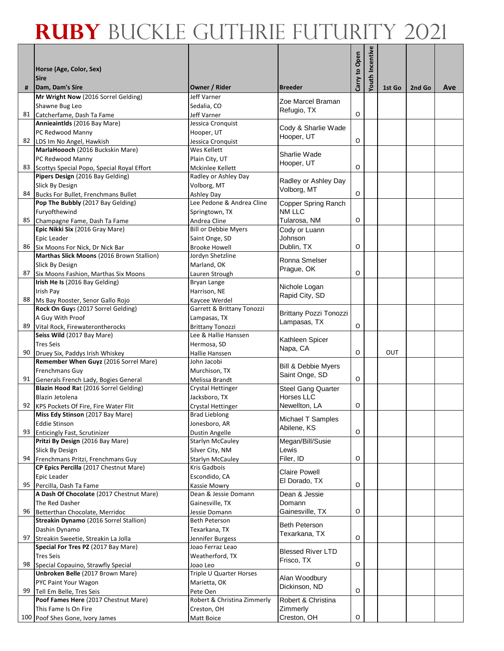|    |                                                                                   |                                          |                                   |               | Youth Incentive |            |        |     |
|----|-----------------------------------------------------------------------------------|------------------------------------------|-----------------------------------|---------------|-----------------|------------|--------|-----|
|    | Horse (Age, Color, Sex)                                                           |                                          |                                   | Carry to Open |                 |            |        |     |
|    | <b>Sire</b>                                                                       |                                          |                                   |               |                 |            |        |     |
| #  | Dam, Dam's Sire<br>Mr Wright Now (2016 Sorrel Gelding)                            | Owner / Rider<br>Jeff Varner             | <b>Breeder</b>                    |               |                 | 1st Go     | 2nd Go | Ave |
|    | Shawne Bug Leo                                                                    | Sedalia, CO                              | Zoe Marcel Braman                 |               |                 |            |        |     |
|    | 81 Catcherfame, Dash Ta Fame                                                      | Jeff Varner                              | Refugio, TX                       | O             |                 |            |        |     |
|    | Annieaintlds (2016 Bay Mare)                                                      | Jessica Cronquist                        |                                   |               |                 |            |        |     |
|    | PC Redwood Manny                                                                  | Hooper, UT                               | Cody & Sharlie Wade<br>Hooper, UT |               |                 |            |        |     |
|    | 82 LDS Im No Angel, Hawkish                                                       | Jessica Cronquist                        |                                   | O             |                 |            |        |     |
|    | MarlaHoooch (2016 Buckskin Mare)                                                  | Wes Kellett                              | Sharlie Wade                      |               |                 |            |        |     |
|    | PC Redwood Manny                                                                  | Plain City, UT                           | Hooper, UT                        | O             |                 |            |        |     |
|    | 83 Scottys Special Popo, Special Royal Effort<br>Pipers Design (2016 Bay Gelding) | Mckinlee Kellett<br>Radley or Ashley Day |                                   |               |                 |            |        |     |
|    | Slick By Design                                                                   | Volborg, MT                              | Radley or Ashley Day              |               |                 |            |        |     |
| 84 | Bucks For Bullet, Frenchmans Bullet                                               | Ashley Day                               | Volborg, MT                       | O             |                 |            |        |     |
|    | Pop The Bubbly (2017 Bay Gelding)                                                 | Lee Pedone & Andrea Cline                | Copper Spring Ranch               |               |                 |            |        |     |
|    | Furyofthewind                                                                     | Springtown, TX                           | NM LLC                            |               |                 |            |        |     |
|    | 85 Champagne Fame, Dash Ta Fame                                                   | Andrea Cline                             | Tularosa, NM                      | O             |                 |            |        |     |
|    | Epic Nikki Six (2016 Gray Mare)                                                   | <b>Bill or Debbie Myers</b>              | Cody or Luann                     |               |                 |            |        |     |
|    | Epic Leader                                                                       | Saint Onge, SD                           | Johnson                           |               |                 |            |        |     |
|    | 86 Six Moons For Nick, Dr Nick Bar                                                | <b>Brooke Howell</b>                     | Dublin, TX                        | O             |                 |            |        |     |
|    | Marthas Slick Moons (2016 Brown Stallion)<br>Slick By Design                      | Jordyn Shetzline<br>Marland, OK          | Ronna Smelser                     |               |                 |            |        |     |
| 87 | Six Moons Fashion, Marthas Six Moons                                              | Lauren Strough                           | Prague, OK                        | O             |                 |            |        |     |
|    | Irish He Is (2016 Bay Gelding)                                                    | Bryan Lange                              |                                   |               |                 |            |        |     |
|    | Irish Pay                                                                         | Harrison, NE                             | Nichole Logan                     |               |                 |            |        |     |
|    | 88 Ms Bay Rooster, Senor Gallo Rojo                                               | Kaycee Werdel                            | Rapid City, SD                    |               |                 |            |        |     |
|    | Rock On Guys (2017 Sorrel Gelding)                                                | Garrett & Brittany Tonozzi               | Brittany Pozzi Tonozzi            |               |                 |            |        |     |
|    | A Guy With Proof                                                                  | Lampasas, TX                             | Lampasas, TX                      |               |                 |            |        |     |
| 89 | Vital Rock, Firewaterontherocks                                                   | Brittany Tonozzi                         |                                   | O             |                 |            |        |     |
|    | Seiss Wild (2017 Bay Mare)                                                        | Lee & Hallie Hanssen                     | Kathleen Spicer                   |               |                 |            |        |     |
| 90 | <b>Tres Seis</b>                                                                  | Hermosa, SD<br>Hallie Hanssen            | Napa, CA                          | O             |                 | <b>OUT</b> |        |     |
|    | Druey Six, Paddys Irish Whiskey<br>Remember When Guyz (2016 Sorrel Mare)          | John Jacobi                              |                                   |               |                 |            |        |     |
|    | <b>Frenchmans Guy</b>                                                             | Murchison, TX                            | <b>Bill &amp; Debbie Myers</b>    |               |                 |            |        |     |
|    | 91 Generals French Lady, Bogies General                                           | Melissa Brandt                           | Saint Onge, SD                    | O             |                 |            |        |     |
|    | Blazin Hood Rat (2016 Sorrel Gelding)                                             | <b>Crystal Hettinger</b>                 | <b>Steel Gang Quarter</b>         |               |                 |            |        |     |
|    | Blazin Jetolena                                                                   | Jacksboro, TX                            | Horses LLC                        |               |                 |            |        |     |
|    | 92 KPS Pockets Of Fire, Fire Water Flit                                           | Crystal Hettinger                        | Newellton, LA                     | O             |                 |            |        |     |
|    | Miss Edy Stinson (2017 Bay Mare)                                                  | <b>Brad Lieblong</b>                     | Michael T Samples                 |               |                 |            |        |     |
|    | <b>Eddie Stinson</b><br>93 Enticingly Fast, Scrutinizer                           | Jonesboro, AR<br>Dustin Angelle          | Abilene, KS                       | O             |                 |            |        |     |
|    | Pritzi By Design (2016 Bay Mare)                                                  | <b>Starlyn McCauley</b>                  | Megan/Bill/Susie                  |               |                 |            |        |     |
|    | Slick By Design                                                                   | Silver City, NM                          | Lewis                             |               |                 |            |        |     |
|    | 94 Frenchmans Pritzi, Frenchmans Guy                                              | <b>Starlyn McCauley</b>                  | Filer, ID                         | O             |                 |            |        |     |
|    | CP Epics Percilla (2017 Chestnut Mare)                                            | Kris Gadbois                             | <b>Claire Powell</b>              |               |                 |            |        |     |
|    | Epic Leader                                                                       | Escondido, CA                            | El Dorado, TX                     |               |                 |            |        |     |
|    | 95 Percilla, Dash Ta Fame                                                         | Kassie Mowry                             |                                   | O             |                 |            |        |     |
|    | A Dash Of Chocolate (2017 Chestnut Mare)                                          | Dean & Jessie Domann                     | Dean & Jessie                     |               |                 |            |        |     |
| 96 | The Red Dasher<br>Betterthan Chocolate, Merridoc                                  | Gainesville, TX<br>Jessie Domann         | Domann<br>Gainesville, TX         | O             |                 |            |        |     |
|    | Streakin Dynamo (2016 Sorrel Stallion)                                            | Beth Peterson                            |                                   |               |                 |            |        |     |
|    | Dashin Dynamo                                                                     | Texarkana, TX                            | <b>Beth Peterson</b>              |               |                 |            |        |     |
| 97 | Streakin Sweetie, Streakin La Jolla                                               | Jennifer Burgess                         | Texarkana, TX                     | O             |                 |            |        |     |
|    | Special For Tres PZ (2017 Bay Mare)                                               | Joao Ferraz Leao                         | <b>Blessed River LTD</b>          |               |                 |            |        |     |
|    | <b>Tres Seis</b>                                                                  | Weatherford, TX                          | Frisco, TX                        |               |                 |            |        |     |
| 98 | Special Copauino, Strawfly Special                                                | Joao Leo                                 |                                   | O             |                 |            |        |     |
|    | Unbroken Belle (2017 Brown Mare)                                                  | Triple U Quarter Horses                  | Alan Woodbury                     |               |                 |            |        |     |
| 99 | PYC Paint Your Wagon<br>Tell Em Belle, Tres Seis                                  | Marietta, OK                             | Dickinson, ND                     | O             |                 |            |        |     |
|    | Poof Fames Here (2017 Chestnut Mare)                                              | Pete Oen<br>Robert & Christina Zimmerly  | Robert & Christina                |               |                 |            |        |     |
|    | This Fame Is On Fire                                                              | Creston, OH                              | Zimmerly                          |               |                 |            |        |     |
|    | 100 Poof Shes Gone, Ivory James                                                   | Matt Boice                               | Creston, OH                       | O             |                 |            |        |     |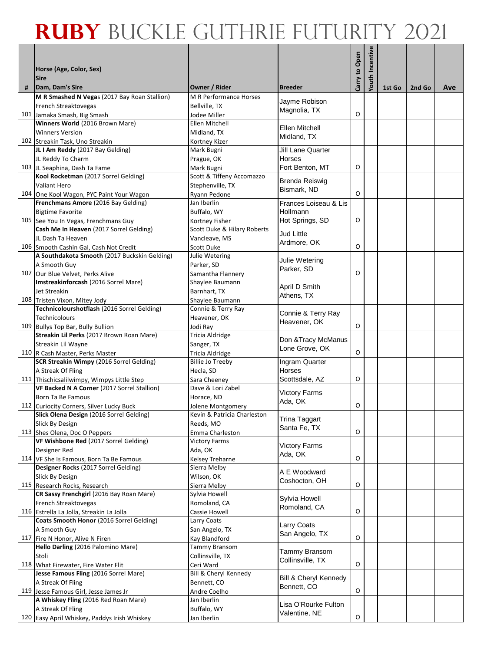|   |                                                                              |                                         |                                       | Carry to Open | Youth Incentive |        |        |     |
|---|------------------------------------------------------------------------------|-----------------------------------------|---------------------------------------|---------------|-----------------|--------|--------|-----|
|   | Horse (Age, Color, Sex)                                                      |                                         |                                       |               |                 |        |        |     |
| # | <b>Sire</b><br>Dam, Dam's Sire                                               | Owner / Rider                           | <b>Breeder</b>                        |               |                 | 1st Go | 2nd Go | Ave |
|   | M R Smashed N Vegas (2017 Bay Roan Stallion)                                 | M R Performance Horses                  |                                       |               |                 |        |        |     |
|   | French Streaktovegas                                                         | Bellville, TX                           | Javme Robison<br>Magnolia, TX         |               |                 |        |        |     |
|   | 101 Jamaka Smash, Big Smash                                                  | Jodee Miller                            |                                       | O             |                 |        |        |     |
|   | Winners World (2016 Brown Mare)                                              | Ellen Mitchell                          | Ellen Mitchell                        |               |                 |        |        |     |
|   | <b>Winners Version</b>                                                       | Midland, TX                             | Midland, TX                           |               |                 |        |        |     |
|   | 102 Streakin Task, Uno Streakin                                              | Kortney Kizer                           |                                       |               |                 |        |        |     |
|   | JL I Am Reddy (2017 Bay Gelding)                                             | Mark Bugni                              | Jill Lane Quarter                     |               |                 |        |        |     |
|   | JL Reddy To Charm<br>103 JL Seaphina, Dash Ta Fame                           | Prague, OK                              | Horses<br>Fort Benton, MT             | O             |                 |        |        |     |
|   | Kool Rocketman (2017 Sorrel Gelding)                                         | Mark Bugni<br>Scott & Tiffeny Accomazzo |                                       |               |                 |        |        |     |
|   | Valiant Hero                                                                 | Stephenville, TX                        | <b>Brenda Reiswig</b>                 |               |                 |        |        |     |
|   | 104 One Kool Wagon, PYC Paint Your Wagon                                     | Ryann Pedone                            | Bismark, ND                           | O             |                 |        |        |     |
|   | Frenchmans Amore (2016 Bay Gelding)                                          | Jan Iberlin                             | Frances Loiseau & Lis                 |               |                 |        |        |     |
|   | <b>Bigtime Favorite</b>                                                      | Buffalo, WY                             | Hollmann                              |               |                 |        |        |     |
|   | 105 See You In Vegas, Frenchmans Guy                                         | Kortney Fisher                          | Hot Springs, SD                       | O             |                 |        |        |     |
|   | Cash Me In Heaven (2017 Sorrel Gelding)                                      | Scott Duke & Hilary Roberts             | <b>Jud Little</b>                     |               |                 |        |        |     |
|   | JL Dash Ta Heaven                                                            | Vancleave, MS                           | Ardmore, OK                           |               |                 |        |        |     |
|   | 106 Smooth Cashin Gal, Cash Not Credit                                       | Scott Duke                              |                                       | O             |                 |        |        |     |
|   | A Southdakota Smooth (2017 Buckskin Gelding)                                 | Julie Wetering                          | Julie Wetering                        |               |                 |        |        |     |
|   | A Smooth Guy                                                                 | Parker. SD                              | Parker, SD                            |               |                 |        |        |     |
|   | 107 Our Blue Velvet, Perks Alive                                             | Samantha Flannery                       |                                       | O             |                 |        |        |     |
|   | Imstreakinforcash (2016 Sorrel Mare)                                         | Shaylee Baumann                         | April D Smith                         |               |                 |        |        |     |
|   | Jet Streakin                                                                 | Barnhart, TX                            | Athens, TX                            |               |                 |        |        |     |
|   | 108 Tristen Vixon, Mitey Jody<br>Technicolourshotflash (2016 Sorrel Gelding) | Shaylee Baumann<br>Connie & Terry Ray   |                                       |               |                 |        |        |     |
|   | Technicolours                                                                | Heavener, OK                            | Connie & Terry Ray                    |               |                 |        |        |     |
|   | 109 Bullys Top Bar, Bully Bullion                                            | Jodi Ray                                | Heavener, OK                          | O             |                 |        |        |     |
|   | Streakin Lil Perks (2017 Brown Roan Mare)                                    | Tricia Aldridge                         |                                       |               |                 |        |        |     |
|   | Streakin Lil Wayne                                                           | Sanger, TX                              | Don & Tracy McManus                   |               |                 |        |        |     |
|   | 110 R Cash Master, Perks Master                                              | Tricia Aldridge                         | Lone Grove, OK                        | O             |                 |        |        |     |
|   | SCR Streakin Wimpy (2016 Sorrel Gelding)                                     | <b>Billie Jo Treeby</b>                 | Ingram Quarter                        |               |                 |        |        |     |
|   | A Streak Of Fling                                                            | Hecla, SD                               | Horses                                |               |                 |        |        |     |
|   | 111 Thischicsalilwimpy, Wimpys Little Step                                   | Sara Cheeney                            | Scottsdale, AZ                        | O             |                 |        |        |     |
|   | VF Backed N A Corner (2017 Sorrel Stallion)                                  | Dave & Lori Zabel                       | <b>Victory Farms</b>                  |               |                 |        |        |     |
|   | Born Ta Be Famous                                                            | Horace, ND                              | Ada, OK                               |               |                 |        |        |     |
|   | 112 Curiocity Corners, Silver Lucky Buck                                     | Jolene Montgomery                       |                                       | O             |                 |        |        |     |
|   | Slick Olena Design (2016 Sorrel Gelding)                                     | Kevin & Patricia Charleston             | <b>Trina Taggart</b>                  |               |                 |        |        |     |
|   | Slick By Design                                                              | Reeds, MO                               | Santa Fe, TX                          | O             |                 |        |        |     |
|   | 113 Shes Olena, Doc O Peppers<br>VF Wishbone Red (2017 Sorrel Gelding)       | Emma Charleston<br><b>Victory Farms</b> |                                       |               |                 |        |        |     |
|   | Designer Red                                                                 | Ada, OK                                 | <b>Victory Farms</b>                  |               |                 |        |        |     |
|   | 114 VF She Is Famous, Born Ta Be Famous                                      | <b>Kelsey Treharne</b>                  | Ada, OK                               | O             |                 |        |        |     |
|   | Designer Rocks (2017 Sorrel Gelding)                                         | Sierra Melby                            |                                       |               |                 |        |        |     |
|   | Slick By Design                                                              | Wilson, OK                              | A E Woodward                          |               |                 |        |        |     |
|   | 115 Research Rocks, Research                                                 | Sierra Melby                            | Coshocton, OH                         | О             |                 |        |        |     |
|   | CR Sassy Frenchgirl (2016 Bay Roan Mare)                                     | Sylvia Howell                           | Sylvia Howell                         |               |                 |        |        |     |
|   | French Streaktovegas                                                         | Romoland, CA                            | Romoland, CA                          |               |                 |        |        |     |
|   | 116 Estrella La Jolla, Streakin La Jolla                                     | Cassie Howell                           |                                       | O             |                 |        |        |     |
|   | Coats Smooth Honor (2016 Sorrel Gelding)                                     | Larry Coats                             | Larry Coats                           |               |                 |        |        |     |
|   | A Smooth Guy                                                                 | San Angelo, TX                          | San Angelo, TX                        |               |                 |        |        |     |
|   | 117 Fire N Honor, Alive N Firen                                              | Kay Blandford                           |                                       | O             |                 |        |        |     |
|   | Hello Darling (2016 Palomino Mare)<br>Stoli                                  | Tammy Bransom<br>Collinsville, TX       | Tammy Bransom                         |               |                 |        |        |     |
|   | 118 What Firewater, Fire Water Flit                                          | Ceri Ward                               | Collinsville, TX                      | O             |                 |        |        |     |
|   | Jesse Famous Fling (2016 Sorrel Mare)                                        | Bill & Cheryl Kennedy                   |                                       |               |                 |        |        |     |
|   | A Streak Of Fling                                                            | Bennett, CO                             | Bill & Cheryl Kennedy                 |               |                 |        |        |     |
|   | 119 Jesse Famous Girl, Jesse James Jr                                        | Andre Coelho                            | Bennett, CO                           | O             |                 |        |        |     |
|   | A Whiskey Fling (2016 Red Roan Mare)                                         | Jan Iberlin                             |                                       |               |                 |        |        |     |
|   | A Streak Of Fling                                                            | Buffalo, WY                             | Lisa O'Rourke Fulton<br>Valentine, NE |               |                 |        |        |     |
|   | 120 Easy April Whiskey, Paddys Irish Whiskey                                 | Jan Iberlin                             |                                       | O             |                 |        |        |     |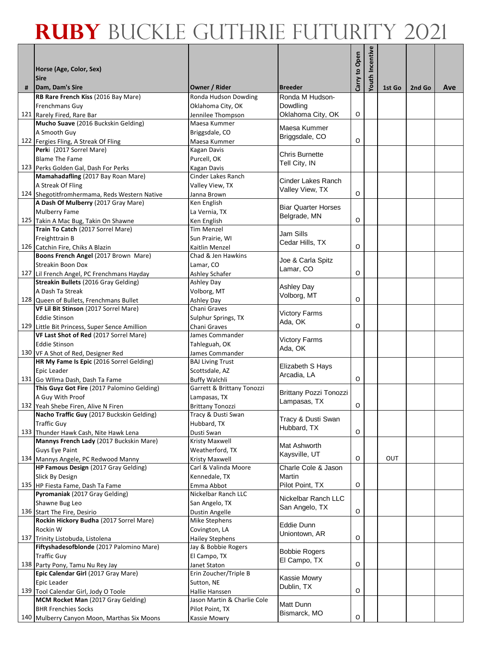|   |                                                                            |                                       |                                            |               | Youth Incentive |        |        |     |
|---|----------------------------------------------------------------------------|---------------------------------------|--------------------------------------------|---------------|-----------------|--------|--------|-----|
|   | Horse (Age, Color, Sex)                                                    |                                       |                                            | Carry to Open |                 |        |        |     |
|   | <b>Sire</b>                                                                |                                       |                                            |               |                 |        |        |     |
| # | Dam, Dam's Sire<br>RB Rare French Kiss (2016 Bay Mare)                     | Owner / Rider<br>Ronda Hudson Dowding | <b>Breeder</b><br>Ronda M Hudson-          |               |                 | 1st Go | 2nd Go | Ave |
|   | <b>Frenchmans Guv</b>                                                      | Oklahoma City, OK                     | Dowdling                                   |               |                 |        |        |     |
|   | 121 Rarely Fired, Rare Bar                                                 | Jennilee Thompson                     | Oklahoma City, OK                          | O             |                 |        |        |     |
|   | Mucho Suave (2016 Buckskin Gelding)                                        | Maesa Kummer                          |                                            |               |                 |        |        |     |
|   | A Smooth Guy                                                               | Briggsdale, CO                        | Maesa Kummer<br>Briggsdale, CO             |               |                 |        |        |     |
|   | 122 Fergies Fling, A Streak Of Fling                                       | Maesa Kummer                          |                                            | O             |                 |        |        |     |
|   | Perki (2017 Sorrel Mare)                                                   | Kagan Davis                           | Chris Burnette                             |               |                 |        |        |     |
|   | <b>Blame The Fame</b>                                                      | Purcell, OK                           | Tell City, IN                              |               |                 |        |        |     |
|   | 123 Perks Golden Gal, Dash For Perks<br>Mamahadafling (2017 Bay Roan Mare) | Kagan Davis<br>Cinder Lakes Ranch     |                                            |               |                 |        |        |     |
|   | A Streak Of Fling                                                          | Valley View, TX                       | Cinder Lakes Ranch                         |               |                 |        |        |     |
|   | 124 Shegotitfromhermama, Reds Western Native                               | Janna Brown                           | Valley View, TX                            | O             |                 |        |        |     |
|   | A Dash Of Mulberry (2017 Gray Mare)                                        | Ken English                           |                                            |               |                 |        |        |     |
|   | <b>Mulberry Fame</b>                                                       | La Vernia, TX                         | <b>Biar Quarter Horses</b><br>Belgrade, MN |               |                 |        |        |     |
|   | 125 Takin A Mac Bug, Takin On Shawne                                       | Ken English                           |                                            | O             |                 |        |        |     |
|   | Train To Catch (2017 Sorrel Mare)                                          | Tim Menzel                            | Jam Sills                                  |               |                 |        |        |     |
|   | Freighttrain B                                                             | Sun Prairie, WI                       | Cedar Hills, TX                            |               |                 |        |        |     |
|   | 126 Catchin Fire, Chiks A Blazin                                           | Kaitlin Menzel                        |                                            | O             |                 |        |        |     |
|   | Boons French Angel (2017 Brown Mare)<br><b>Streakin Boon Dox</b>           | Chad & Jen Hawkins<br>Lamar, CO       | Joe & Carla Spitz                          |               |                 |        |        |     |
|   | 127 Lil French Angel, PC Frenchmans Hayday                                 | Ashley Schafer                        | Lamar. CO                                  | O             |                 |        |        |     |
|   | Streakin Bullets (2016 Gray Gelding)                                       | Ashley Day                            |                                            |               |                 |        |        |     |
|   | A Dash Ta Streak                                                           | Volborg, MT                           | <b>Ashley Day</b>                          |               |                 |        |        |     |
|   | 128 Queen of Bullets, Frenchmans Bullet                                    | Ashley Day                            | Volborg, MT                                | O             |                 |        |        |     |
|   | VF Lil Bit Stinson (2017 Sorrel Mare)                                      | Chani Graves                          | <b>Victory Farms</b>                       |               |                 |        |        |     |
|   | <b>Eddie Stinson</b>                                                       | Sulphur Springs, TX                   | Ada, OK                                    |               |                 |        |        |     |
|   | 129 Little Bit Princess, Super Sence Amillion                              | Chani Graves                          |                                            | O             |                 |        |        |     |
|   | VF Last Shot of Red (2017 Sorrel Mare)<br><b>Eddie Stinson</b>             | James Commander                       | <b>Victory Farms</b>                       |               |                 |        |        |     |
|   | 130 VF A Shot of Red, Designer Red                                         | Tahleguah, OK<br>James Commander      | Ada, OK                                    |               |                 |        |        |     |
|   | HR My Fame Is Epic (2016 Sorrel Gelding)                                   | <b>BAJ Living Trust</b>               |                                            |               |                 |        |        |     |
|   | Epic Leader                                                                | Scottsdale, AZ                        | Elizabeth S Hays                           |               |                 |        |        |     |
|   | 131 Go Wilma Dash, Dash Ta Fame                                            | <b>Buffy Walchli</b>                  | Arcadia, LA                                | O             |                 |        |        |     |
|   | This Guyz Got Fire (2017 Palomino Gelding)                                 | Garrett & Brittany Tonozzi            | Brittany Pozzi Tonozzi                     |               |                 |        |        |     |
|   | A Guy With Proof                                                           | Lampasas, TX                          | Lampasas, TX                               |               |                 |        |        |     |
|   | 132 Yeah Shebe Firen, Alive N Firen                                        | Brittany Tonozzi                      |                                            | O             |                 |        |        |     |
|   | Nacho Traffic Guy (2017 Buckskin Gelding)<br><b>Traffic Guy</b>            | Tracy & Dusti Swan<br>Hubbard, TX     | Tracy & Dusti Swan                         |               |                 |        |        |     |
|   | 133 Thunder Hawk Cash, Nite Hawk Lena                                      | Dusti Swan                            | Hubbard, TX                                | O             |                 |        |        |     |
|   | Mannys French Lady (2017 Buckskin Mare)                                    | Kristy Maxwell                        |                                            |               |                 |        |        |     |
|   | Guys Eye Paint                                                             | Weatherford, TX                       | Mat Ashworth                               |               |                 |        |        |     |
|   | 134 Mannys Angele, PC Redwood Manny                                        | Kristy Maxwell                        | Kaysville, UT                              | O             |                 | OUT    |        |     |
|   | HP Famous Design (2017 Gray Gelding)                                       | Carl & Valinda Moore                  | Charle Cole & Jason                        |               |                 |        |        |     |
|   | Slick By Design                                                            | Kennedale, TX                         | Martin                                     |               |                 |        |        |     |
|   | 135 HP Fiesta Fame, Dash Ta Fame                                           | Emma Abbot                            | Pilot Point, TX                            | O             |                 |        |        |     |
|   | Pyromaniak (2017 Gray Gelding)<br>Shawne Bug Leo                           | Nickelbar Ranch LLC                   | Nickelbar Ranch LLC                        |               |                 |        |        |     |
|   | 136 Start The Fire, Desirio                                                | San Angelo, TX<br>Dustin Angelle      | San Angelo, TX                             | O             |                 |        |        |     |
|   | Rockin Hickory Budha (2017 Sorrel Mare)                                    | Mike Stephens                         |                                            |               |                 |        |        |     |
|   | Rockin W                                                                   | Covington, LA                         | Eddie Dunn                                 |               |                 |        |        |     |
|   | 137 Trinity Listobuda, Listolena                                           | <b>Hailey Stephens</b>                | Uniontown, AR                              | O             |                 |        |        |     |
|   | Fiftyshadesofblonde (2017 Palomino Mare)                                   | Jay & Bobbie Rogers                   | <b>Bobbie Rogers</b>                       |               |                 |        |        |     |
|   | <b>Traffic Guy</b>                                                         | El Campo, TX                          | El Campo, TX                               |               |                 |        |        |     |
|   | 138 Party Pony, Tamu Nu Rey Jay                                            | Janet Staton                          |                                            | O             |                 |        |        |     |
|   | Epic Calendar Girl (2017 Gray Mare)<br>Epic Leader                         | Erin Zoucher/Triple B<br>Sutton, NE   | Kassie Mowry                               |               |                 |        |        |     |
|   | 139 Tool Calendar Girl, Jody O Toole                                       | Hallie Hanssen                        | Dublin, TX                                 | O             |                 |        |        |     |
|   | MCM Rocket Man (2017 Gray Gelding)                                         | Jason Martin & Charlie Cole           |                                            |               |                 |        |        |     |
|   | <b>BHR Frenchies Socks</b>                                                 | Pilot Point, TX                       | Matt Dunn                                  |               |                 |        |        |     |
|   | 140 Mulberry Canyon Moon, Marthas Six Moons                                | Kassie Mowry                          | Bismarck, MO                               | O             |                 |        |        |     |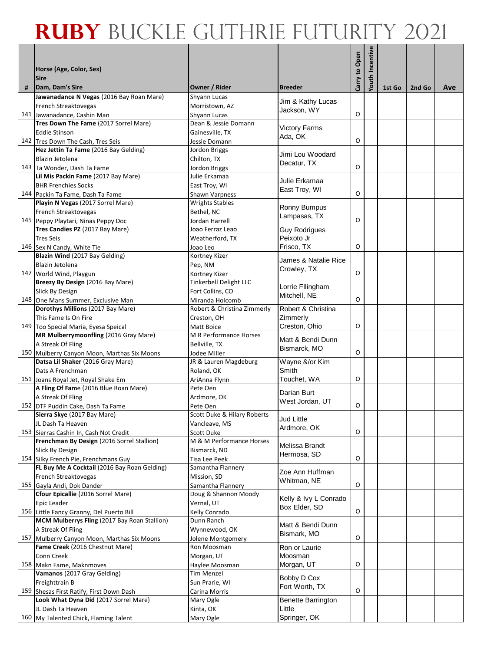|   |                                                                                          |                                                |                           | Carry to Open | Youth Incentive |        |        |     |
|---|------------------------------------------------------------------------------------------|------------------------------------------------|---------------------------|---------------|-----------------|--------|--------|-----|
|   | Horse (Age, Color, Sex)                                                                  |                                                |                           |               |                 |        |        |     |
| # | <b>Sire</b><br>Dam, Dam's Sire                                                           | Owner / Rider                                  | <b>Breeder</b>            |               |                 | 1st Go | 2nd Go | Ave |
|   | Jawanadance N Vegas (2016 Bay Roan Mare)                                                 | Shyann Lucas                                   |                           |               |                 |        |        |     |
|   | French Streaktovegas                                                                     | Morristown, AZ                                 | Jim & Kathy Lucas         |               |                 |        |        |     |
|   | 141 Jawanadance, Cashin Man                                                              | Shyann Lucas                                   | Jackson, WY               | O             |                 |        |        |     |
|   | Tres Down The Fame (2017 Sorrel Mare)                                                    | Dean & Jessie Domann                           | <b>Victory Farms</b>      |               |                 |        |        |     |
|   | <b>Eddie Stinson</b>                                                                     | Gainesville, TX                                | Ada, OK                   |               |                 |        |        |     |
|   | 142 Tres Down The Cash, Tres Seis                                                        | Jessie Domann                                  |                           | O             |                 |        |        |     |
|   | Hez Jettin Ta Fame (2016 Bay Gelding)                                                    | Jordon Briggs                                  | Jimi Lou Woodard          |               |                 |        |        |     |
|   | Blazin Jetolena                                                                          | Chilton, TX                                    | Decatur, TX               | O             |                 |        |        |     |
|   | 143 Ta Wonder, Dash Ta Fame<br>Lil Mis Packin Fame (2017 Bay Mare)                       | Jordon Briggs<br>Julie Erkamaa                 |                           |               |                 |        |        |     |
|   | <b>BHR Frenchies Socks</b>                                                               | East Troy, WI                                  | Julie Erkamaa             |               |                 |        |        |     |
|   | 144 Packin Ta Fame, Dash Ta Fame                                                         | Shawn Varpness                                 | East Troy, WI             | O             |                 |        |        |     |
|   | Playin N Vegas (2017 Sorrel Mare)                                                        | <b>Wrights Stables</b>                         |                           |               |                 |        |        |     |
|   | French Streaktovegas                                                                     | Bethel, NC                                     | Ronny Bumpus              |               |                 |        |        |     |
|   | 145 Peppy Playtari, Ninas Peppy Doc                                                      | Jordan Harrell                                 | Lampasas, TX              | O             |                 |        |        |     |
|   | Tres Candies PZ (2017 Bay Mare)                                                          | Joao Ferraz Leao                               | <b>Guy Rodrigues</b>      |               |                 |        |        |     |
|   | <b>Tres Seis</b>                                                                         | Weatherford, TX                                | Peixoto Jr                |               |                 |        |        |     |
|   | 146 Sex N Candy, White Tie                                                               | Joao Leo                                       | Frisco, TX                | O             |                 |        |        |     |
|   | Blazin Wind (2017 Bay Gelding)                                                           | Kortney Kizer                                  | James & Natalie Rice      |               |                 |        |        |     |
|   | Blazin Jetolena                                                                          | Pep, NM                                        | Crowley, TX               |               |                 |        |        |     |
|   | 147 World Wind, Playgun                                                                  | Kortney Kizer                                  |                           | O             |                 |        |        |     |
|   | Breezy By Design (2016 Bay Mare)                                                         | Tinkerbell Delight LLC                         | Lorrie Fllingham          |               |                 |        |        |     |
|   | Slick By Design                                                                          | Fort Collins, CO                               | Mitchell, NE              | O             |                 |        |        |     |
|   | 148 One Mans Summer, Exclusive Man<br>Dorothys Millions (2017 Bay Mare)                  | Miranda Holcomb<br>Robert & Christina Zimmerly | Robert & Christina        |               |                 |        |        |     |
|   | This Fame Is On Fire                                                                     | Creston, OH                                    | Zimmerly                  |               |                 |        |        |     |
|   | 149 Too Special Maria, Eyesa Speical                                                     | Matt Boice                                     | Creston, Ohio             | O             |                 |        |        |     |
|   | MR Mulberrymoonfling (2016 Gray Mare)                                                    | M R Performance Horses                         |                           |               |                 |        |        |     |
|   | A Streak Of Fling                                                                        | Bellville, TX                                  | Matt & Bendi Dunn         |               |                 |        |        |     |
|   | 150 Mulberry Canyon Moon, Marthas Six Moons                                              | Jodee Miller                                   | Bismarck, MO              | O             |                 |        |        |     |
|   | Datsa Lil Shaker (2016 Gray Mare)                                                        | JR & Lauren Magdeburg                          | Wayne &/or Kim            |               |                 |        |        |     |
|   | Dats A Frenchman                                                                         | Roland, OK                                     | Smith                     |               |                 |        |        |     |
|   | 151 Joans Royal Jet, Royal Shake Em                                                      | AriAnna Flynn                                  | Touchet, WA               | O             |                 |        |        |     |
|   | A Fling Of Fame (2016 Blue Roan Mare)                                                    | Pete Oen                                       | Darian Burt               |               |                 |        |        |     |
|   | A Streak Of Fling                                                                        | Ardmore, OK                                    | West Jordan, UT           | O             |                 |        |        |     |
|   | 152 DTF Puddin Cake, Dash Ta Fame<br>Sierra Skye (2017 Bay Mare)                         | Pete Oen<br>Scott Duke & Hilary Roberts        |                           |               |                 |        |        |     |
|   | JL Dash Ta Heaven                                                                        | Vancleave, MS                                  | Jud Little                |               |                 |        |        |     |
|   | 153 Sierras Cashin In, Cash Not Credit                                                   | <b>Scott Duke</b>                              | Ardmore, OK               | O             |                 |        |        |     |
|   | Frenchman By Design (2016 Sorrel Stallion)                                               | M & M Performance Horses                       |                           |               |                 |        |        |     |
|   | Slick By Design                                                                          | Bismarck, ND                                   | Melissa Brandt            |               |                 |        |        |     |
|   | 154 Silky French Pie, Frenchmans Guy                                                     | Tisa Lee Peek                                  | Hermosa, SD               | O             |                 |        |        |     |
|   | FL Buy Me A Cocktail (2016 Bay Roan Gelding)                                             | Samantha Flannery                              | Zoe Ann Huffman           |               |                 |        |        |     |
|   | French Streaktovegas                                                                     | Mission, SD                                    | Whitman, NE               |               |                 |        |        |     |
|   | 155 Gayla Andi, Dok Dander                                                               | Samantha Flannery                              |                           | O             |                 |        |        |     |
|   | Cfour Epicallie (2016 Sorrel Mare)                                                       | Doug & Shannon Moody                           | Kelly & Ivy L Conrado     |               |                 |        |        |     |
|   | Epic Leader                                                                              | Vernal, UT<br>Kelly Conrado                    | Box Elder, SD             | $\mathsf O$   |                 |        |        |     |
|   | 156 Little Fancy Granny, Del Puerto Bill<br>MCM Mulberrys Fling (2017 Bay Roan Stallion) | Dunn Ranch                                     |                           |               |                 |        |        |     |
|   | A Streak Of Fling                                                                        | Wynnewood, OK                                  | Matt & Bendi Dunn         |               |                 |        |        |     |
|   | 157 Mulberry Canyon Moon, Marthas Six Moons                                              | Jolene Montgomery                              | Bismark, MO               | O             |                 |        |        |     |
|   | Fame Creek (2016 Chestnut Mare)                                                          | Ron Moosman                                    | Ron or Laurie             |               |                 |        |        |     |
|   | Conn Creek                                                                               | Morgan, UT                                     | Moosman                   |               |                 |        |        |     |
|   | 158 Makn Fame, Maknmoves                                                                 | Haylee Moosman                                 | Morgan, UT                | O             |                 |        |        |     |
|   | Vamanos (2017 Gray Gelding)                                                              | <b>Tim Menzel</b>                              | Bobby D Cox               |               |                 |        |        |     |
|   | Freighttrain B                                                                           | Sun Prarie, WI                                 | Fort Worth, TX            |               |                 |        |        |     |
|   | 159 Shesas First Ratify, First Down Dash                                                 | Carina Morris                                  |                           | O             |                 |        |        |     |
|   | Look What Dyna Did (2017 Sorrel Mare)                                                    | Mary Ogle                                      | <b>Benette Barrington</b> |               |                 |        |        |     |
|   | JL Dash Ta Heaven<br>160 My Talented Chick, Flaming Talent                               | Kinta, OK                                      | Little<br>Springer, OK    |               |                 |        |        |     |
|   |                                                                                          | Mary Ogle                                      |                           |               |                 |        |        |     |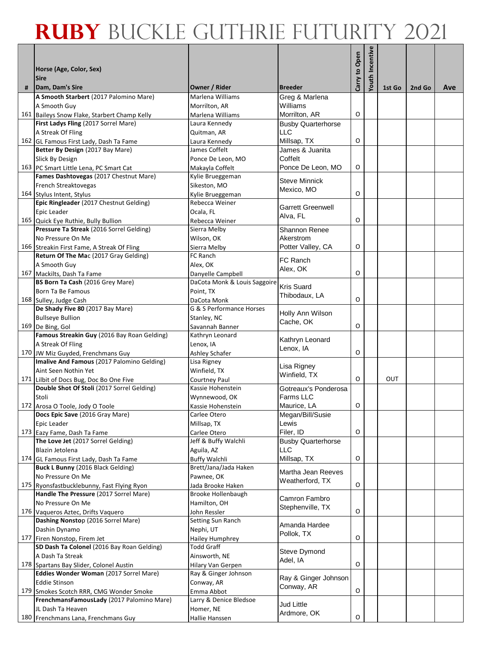|   |                                                                   |                                           |                              | Carry to Open | Youth Incentive |        |        |     |
|---|-------------------------------------------------------------------|-------------------------------------------|------------------------------|---------------|-----------------|--------|--------|-----|
|   | Horse (Age, Color, Sex)                                           |                                           |                              |               |                 |        |        |     |
| # | <b>Sire</b><br>Dam, Dam's Sire                                    | Owner / Rider                             | <b>Breeder</b>               |               |                 | 1st Go | 2nd Go | Ave |
|   | A Smooth Starbert (2017 Palomino Mare)                            | Marlena Williams                          | Greg & Marlena               |               |                 |        |        |     |
|   | A Smooth Guy                                                      | Morrilton, AR                             | Williams                     |               |                 |        |        |     |
|   | 161 Baileys Snow Flake, Starbert Champ Kelly                      | Marlena Williams                          | Morrilton, AR                | O             |                 |        |        |     |
|   | First Ladys Fling (2017 Sorrel Mare)                              | Laura Kennedy                             | <b>Busby Quarterhorse</b>    |               |                 |        |        |     |
|   | A Streak Of Fling                                                 | Quitman, AR                               | <b>LLC</b>                   |               |                 |        |        |     |
|   | 162 GL Famous First Lady, Dash Ta Fame                            | Laura Kennedy                             | Millsap, TX                  | O             |                 |        |        |     |
|   | Better By Design (2017 Bay Mare)                                  | James Coffelt                             | James & Juanita              |               |                 |        |        |     |
|   | Slick By Design<br>163 PC Smart Little Lena, PC Smart Cat         | Ponce De Leon, MO                         | Coffelt<br>Ponce De Leon, MO | O             |                 |        |        |     |
|   | Fames Dashtovegas (2017 Chestnut Mare)                            | Makayla Coffelt<br>Kylie Brueggeman       |                              |               |                 |        |        |     |
|   | French Streaktovegas                                              | Sikeston, MO                              | <b>Steve Minnick</b>         |               |                 |        |        |     |
|   | 164 Stylus Intent, Stylus                                         | Kylie Brueggeman                          | Mexico, MO                   | O             |                 |        |        |     |
|   | Epic Ringleader (2017 Chestnut Gelding)                           | Rebecca Weiner                            |                              |               |                 |        |        |     |
|   | Epic Leader                                                       | Ocala, FL                                 | <b>Garrett Greenwell</b>     |               |                 |        |        |     |
|   | 165 Quick Eye Ruthie, Bully Bullion                               | Rebecca Weiner                            | Alva, FL                     | O             |                 |        |        |     |
|   | Pressure Ta Streak (2016 Sorrel Gelding)                          | Sierra Melby                              | Shannon Renee                |               |                 |        |        |     |
|   | No Pressure On Me                                                 | Wilson, OK                                | Akerstrom                    |               |                 |        |        |     |
|   | 166 Streakin First Fame, A Streak Of Fling                        | Sierra Melby                              | Potter Valley, CA            | O             |                 |        |        |     |
|   | Return Of The Mac (2017 Gray Gelding)                             | FC Ranch                                  | <b>FC Ranch</b>              |               |                 |        |        |     |
|   | A Smooth Guy                                                      | Alex, OK                                  | Alex, OK                     |               |                 |        |        |     |
|   | 167 Mackilts, Dash Ta Fame                                        | Danyelle Campbell                         |                              | O             |                 |        |        |     |
|   | BS Born Ta Cash (2016 Grey Mare)                                  | DaCota Monk & Louis Saggoire              | <b>Kris Suard</b>            |               |                 |        |        |     |
|   | Born Ta Be Famous                                                 | Point, TX                                 | Thibodaux, LA                | O             |                 |        |        |     |
|   | 168 Sulley, Judge Cash<br>De Shady Five 80 (2017 Bay Mare)        | DaCota Monk<br>G & S Performance Horses   |                              |               |                 |        |        |     |
|   | <b>Bullseye Bullion</b>                                           | Stanley, NC                               | Holly Ann Wilson             |               |                 |        |        |     |
|   | 169 De Bing, Gol                                                  | Savannah Banner                           | Cache, OK                    | O             |                 |        |        |     |
|   | Famous Streakin Guy (2016 Bay Roan Gelding)                       | Kathryn Leonard                           |                              |               |                 |        |        |     |
|   | A Streak Of Fling                                                 | Lenox, IA                                 | Kathryn Leonard              |               |                 |        |        |     |
|   | 170 JW Miz Guyded, Frenchmans Guy                                 | Ashley Schafer                            | Lenox, IA                    | O             |                 |        |        |     |
|   | Imalive And Famous (2017 Palomino Gelding)                        | Lisa Rigney                               |                              |               |                 |        |        |     |
|   | Aint Seen Nothin Yet                                              | Winfield, TX                              | Lisa Rigney<br>Winfield, TX  |               |                 |        |        |     |
|   | 171 Lilbit of Docs Bug, Doc Bo One Five                           | Courtney Paul                             |                              | O             |                 | OUT    |        |     |
|   | Double Shot Of Stoli (2017 Sorrel Gelding)                        | Kassie Hohenstein                         | Gotreaux's Ponderosa         |               |                 |        |        |     |
|   | Stoli                                                             | Wynnewood, OK                             | <b>Farms LLC</b>             |               |                 |        |        |     |
|   | 172 Arosa O Toole, Jody O Toole                                   | Kassie Hohenstein                         | Maurice, LA                  | O             |                 |        |        |     |
|   | <b>Docs Epic Save</b> (2016 Gray Mare)                            | Carlee Otero                              | Megan/Bill/Susie             |               |                 |        |        |     |
|   | Epic Leader                                                       | Millsap, TX                               | Lewis<br>Filer, ID           | O             |                 |        |        |     |
|   | 173 Eazy Fame, Dash Ta Fame<br>The Love Jet (2017 Sorrel Gelding) | Carlee Otero<br>Jeff & Buffy Walchli      | <b>Busby Quarterhorse</b>    |               |                 |        |        |     |
|   | Blazin Jetolena                                                   | Aguila, AZ                                | <b>LLC</b>                   |               |                 |        |        |     |
|   | 174 GL Famous First Lady, Dash Ta Fame                            | <b>Buffy Walchli</b>                      | Millsap, TX                  | O             |                 |        |        |     |
|   | Buck L Bunny (2016 Black Gelding)                                 | Brett/Jana/Jada Haken                     |                              |               |                 |        |        |     |
|   | No Pressure On Me                                                 | Pawnee, OK                                | Martha Jean Reeves           |               |                 |        |        |     |
|   | 175 Ryonsfastbucklebunny, Fast Flying Ryon                        | Jada Brooke Haken                         | Weatherford, TX              | O             |                 |        |        |     |
|   | Handle The Pressure (2017 Sorrel Mare)                            | Brooke Hollenbaugh                        | Camron Fambro                |               |                 |        |        |     |
|   | No Pressure On Me                                                 | Hamilton, OH                              | Stephenville, TX             |               |                 |        |        |     |
|   | 176 Vaqueros Aztec, Drifts Vaquero                                | John Ressler                              |                              | O             |                 |        |        |     |
|   | Dashing Nonstop (2016 Sorrel Mare)                                | Setting Sun Ranch                         | Amanda Hardee                |               |                 |        |        |     |
|   | Dashin Dynamo                                                     | Nephi, UT                                 | Pollok, TX                   |               |                 |        |        |     |
|   | 177 Firen Nonstop, Firem Jet                                      | Hailey Humphrey                           |                              | O             |                 |        |        |     |
|   | SD Dash Ta Colonel (2016 Bay Roan Gelding)                        | Todd Graff                                | Steve Dymond                 |               |                 |        |        |     |
|   | A Dash Ta Streak<br>178 Spartans Bay Slider, Colonel Austin       | Ainsworth, NE                             | Adel, IA                     | O             |                 |        |        |     |
|   | Eddies Wonder Woman (2017 Sorrel Mare)                            | Hilary Van Gerpen<br>Ray & Ginger Johnson |                              |               |                 |        |        |     |
|   | <b>Eddie Stinson</b>                                              | Conway, AR                                | Ray & Ginger Johnson         |               |                 |        |        |     |
|   | 179 Smokes Scotch RRR, CMG Wonder Smoke                           | Emma Abbot                                | Conway, AR                   | O             |                 |        |        |     |
|   | FrenchmansFamousLady (2017 Palomino Mare)                         | Larry & Denice Bledsoe                    |                              |               |                 |        |        |     |
|   | JL Dash Ta Heaven                                                 | Homer, NE                                 | <b>Jud Little</b>            |               |                 |        |        |     |
|   | 180 Frenchmans Lana, Frenchmans Guy                               | Hallie Hanssen                            | Ardmore, OK                  | O             |                 |        |        |     |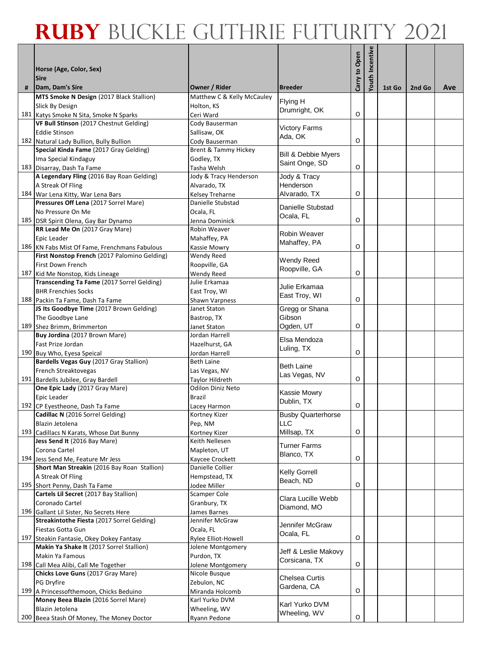|   |                                                                                       |                                      |                                                  |               | <b>/outh Incentive</b> |        |        |     |
|---|---------------------------------------------------------------------------------------|--------------------------------------|--------------------------------------------------|---------------|------------------------|--------|--------|-----|
|   | Horse (Age, Color, Sex)                                                               |                                      |                                                  | Carry to Open |                        |        |        |     |
|   | <b>Sire</b>                                                                           |                                      |                                                  |               |                        |        |        |     |
| # | Dam, Dam's Sire                                                                       | Owner / Rider                        | <b>Breeder</b>                                   |               |                        | 1st Go | 2nd Go | Ave |
|   | MTS Smoke N Design (2017 Black Stallion)                                              | Matthew C & Kelly McCauley           | Flying H                                         |               |                        |        |        |     |
|   | Slick By Design                                                                       | Holton, KS                           | Drumright, OK                                    |               |                        |        |        |     |
|   | 181 Katys Smoke N Sita, Smoke N Sparks                                                | Ceri Ward                            |                                                  | O             |                        |        |        |     |
|   | VF Bull Stinson (2017 Chestnut Gelding)<br><b>Eddie Stinson</b>                       | Cody Bauserman<br>Sallisaw, OK       | <b>Victory Farms</b>                             |               |                        |        |        |     |
|   | 182 Natural Lady Bullion, Bully Bullion                                               | Cody Bauserman                       | Ada, OK                                          | O             |                        |        |        |     |
|   | Special Kinda Fame (2017 Gray Gelding)                                                | <b>Brent &amp; Tammy Hickey</b>      |                                                  |               |                        |        |        |     |
|   | Ima Special Kindaguy                                                                  | Godley, TX                           | <b>Bill &amp; Debbie Myers</b><br>Saint Onge, SD |               |                        |        |        |     |
|   | 183 Disarray, Dash Ta Fame                                                            | Tasha Welsh                          |                                                  | $\mathsf O$   |                        |        |        |     |
|   | A Legendary Fling (2016 Bay Roan Gelding)                                             | Jody & Tracy Henderson               | Jody & Tracy                                     |               |                        |        |        |     |
|   | A Streak Of Fling<br>184 War Lena Kitty, War Lena Bars                                | Alvarado, TX                         | Henderson<br>Alvarado, TX                        | O             |                        |        |        |     |
|   | Pressures Off Lena (2017 Sorrel Mare)                                                 | Kelsey Treharne<br>Danielle Stubstad |                                                  |               |                        |        |        |     |
|   | No Pressure On Me                                                                     | Ocala, FL                            | Danielle Stubstad                                |               |                        |        |        |     |
|   | 185 DSR Spirit Olena, Gay Bar Dynamo                                                  | Jenna Dominick                       | Ocala, FL                                        | O             |                        |        |        |     |
|   | RR Lead Me On (2017 Gray Mare)                                                        | Robin Weaver                         | Robin Weaver                                     |               |                        |        |        |     |
|   | Epic Leader                                                                           | Mahaffey, PA                         | Mahaffey, PA                                     |               |                        |        |        |     |
|   | 186 KN Fabs Mist Of Fame, Frenchmans Fabulous                                         | Kassie Mowry                         |                                                  | O             |                        |        |        |     |
|   | First Nonstop French (2017 Palomino Gelding)<br>First Down French                     | Wendy Reed<br>Roopville, GA          | <b>Wendy Reed</b>                                |               |                        |        |        |     |
|   | 187 Kid Me Nonstop, Kids Lineage                                                      | Wendy Reed                           | Roopville, GA                                    | O             |                        |        |        |     |
|   | Transcending Ta Fame (2017 Sorrel Gelding)                                            | Julie Erkamaa                        |                                                  |               |                        |        |        |     |
|   | <b>BHR Frenchies Socks</b>                                                            | East Troy, WI                        | Julie Erkamaa<br>East Troy, WI                   |               |                        |        |        |     |
|   | 188 Packin Ta Fame, Dash Ta Fame                                                      | <b>Shawn Varpness</b>                |                                                  | O             |                        |        |        |     |
|   | JS Its Goodbye Time (2017 Brown Gelding)                                              | Janet Staton                         | Gregg or Shana                                   |               |                        |        |        |     |
|   | The Goodbye Lane                                                                      | Bastrop, TX                          | Gibson                                           | O             |                        |        |        |     |
|   | 189 Shez Brimm, Brimmerton<br>Buy Jordina (2017 Brown Mare)                           | Janet Staton<br>Jordan Harrell       | Ogden, UT                                        |               |                        |        |        |     |
|   | Fast Prize Jordan                                                                     | Hazelhurst, GA                       | Elsa Mendoza                                     |               |                        |        |        |     |
|   | 190 Buy Who, Eyesa Speical                                                            | Jordan Harrell                       | Luling, TX                                       | O             |                        |        |        |     |
|   | Bardells Vegas Guy (2017 Gray Stallion)                                               | Beth Laine                           | <b>Beth Laine</b>                                |               |                        |        |        |     |
|   | French Streaktovegas                                                                  | Las Vegas, NV                        | Las Vegas, NV                                    |               |                        |        |        |     |
|   | 191 Bardells Jubilee, Gray Bardell<br>One Epic Lady (2017 Gray Mare)                  | Taylor Hildreth                      |                                                  | O             |                        |        |        |     |
|   | Epic Leader                                                                           | Odilon Diniz Neto<br>Brazil          | Kassie Mowry                                     |               |                        |        |        |     |
|   | 192 CP Eyestheone, Dash Ta Fame                                                       | Lacey Harmon                         | Dublin, TX                                       | O             |                        |        |        |     |
|   | Cadillac N (2016 Sorrel Gelding)                                                      | Kortney Kizer                        | <b>Busby Quarterhorse</b>                        |               |                        |        |        |     |
|   | Blazin Jetolena                                                                       | Pep, NM                              | <b>LLC</b>                                       |               |                        |        |        |     |
|   | 193 Cadillacs N Karats, Whose Dat Bunny                                               | Kortney Kizer                        | Millsap, TX                                      | O             |                        |        |        |     |
|   | Jess Send It (2016 Bay Mare)                                                          | Keith Nellesen                       | <b>Turner Farms</b>                              |               |                        |        |        |     |
|   | Corona Cartel<br>194 Jess Send Me, Feature Mr Jess                                    | Mapleton, UT<br>Kaycee Crockett      | Blanco, TX                                       | O             |                        |        |        |     |
|   | Short Man Streakin (2016 Bay Roan Stallion)                                           | Danielle Collier                     |                                                  |               |                        |        |        |     |
|   | A Streak Of Fling                                                                     | Hempstead, TX                        | <b>Kelly Gorrell</b><br>Beach, ND                |               |                        |        |        |     |
|   | 195 Short Penny, Dash Ta Fame                                                         | Jodee Miller                         |                                                  | O             |                        |        |        |     |
|   | Cartels Lil Secret (2017 Bay Stallion)                                                | Scamper Cole                         | Clara Lucille Webb                               |               |                        |        |        |     |
|   | Coronado Cartel                                                                       | Granbury, TX                         | Diamond, MO                                      |               |                        |        |        |     |
|   | 196 Gallant Lil Sister, No Secrets Here<br>Streakintothe Fiesta (2017 Sorrel Gelding) | James Barnes<br>Jennifer McGraw      |                                                  |               |                        |        |        |     |
|   | Fiestas Gotta Gun                                                                     | Ocala, FL                            | Jennifer McGraw                                  |               |                        |        |        |     |
|   | 197 Steakin Fantasie, Okey Dokey Fantasy                                              | Rylee Elliot-Howell                  | Ocala, FL                                        | $\mathsf O$   |                        |        |        |     |
|   | Makin Ya Shake It (2017 Sorrel Stallion)                                              | Jolene Montgomery                    | Jeff & Leslie Makovy                             |               |                        |        |        |     |
|   | <b>Makin Ya Famous</b>                                                                | Purdon, TX                           | Corsicana, TX                                    |               |                        |        |        |     |
|   | 198 Call Mea Alibi, Call Me Together                                                  | Jolene Montgomery                    |                                                  | O             |                        |        |        |     |
|   | Chicks Love Guns (2017 Gray Mare)<br>PG Dryfire                                       | Nicole Busque<br>Zebulon, NC         | <b>Chelsea Curtis</b>                            |               |                        |        |        |     |
|   | 199 A Princessofthemoon, Chicks Beduino                                               | Miranda Holcomb                      | Gardena, CA                                      | O             |                        |        |        |     |
|   | Money Beea Blazin (2016 Sorrel Mare)                                                  | Karl Yurko DVM                       |                                                  |               |                        |        |        |     |
|   | Blazin Jetolena                                                                       | Wheeling, WV                         | Karl Yurko DVM                                   |               |                        |        |        |     |
|   | 200 Beea Stash Of Money, The Money Doctor                                             | Ryann Pedone                         | Wheeling, WV                                     | O             |                        |        |        |     |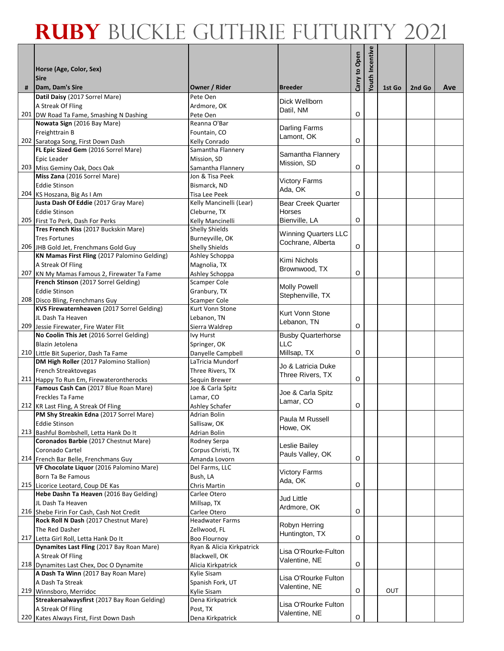|   |                                                                               |                                                  |                               | Carry to Open | Youth Incentive |        |        |     |
|---|-------------------------------------------------------------------------------|--------------------------------------------------|-------------------------------|---------------|-----------------|--------|--------|-----|
|   | Horse (Age, Color, Sex)<br><b>Sire</b>                                        |                                                  |                               |               |                 |        |        |     |
| # | Dam, Dam's Sire                                                               | Owner / Rider                                    | <b>Breeder</b>                |               |                 | 1st Go | 2nd Go | Ave |
|   | Datil Daisy (2017 Sorrel Mare)                                                | Pete Oen                                         |                               |               |                 |        |        |     |
|   | A Streak Of Fling                                                             | Ardmore, OK                                      | Dick Wellborn<br>Datil, NM    |               |                 |        |        |     |
|   | 201 DW Road Ta Fame, Smashing N Dashing                                       | Pete Oen                                         |                               | O             |                 |        |        |     |
|   | Nowata Sign (2016 Bay Mare)                                                   | Reanna O'Bar                                     | Darling Farms                 |               |                 |        |        |     |
|   | Freighttrain B<br>202 Saratoga Song, First Down Dash                          | Fountain, CO                                     | Lamont, OK                    | O             |                 |        |        |     |
|   | FL Epic Sized Gem (2016 Sorrel Mare)                                          | Kelly Conrado<br>Samantha Flannery               |                               |               |                 |        |        |     |
|   | Epic Leader                                                                   | Mission, SD                                      | Samantha Flannery             |               |                 |        |        |     |
|   | 203 Miss Geminy Oak, Docs Oak                                                 | Samantha Flannery                                | Mission, SD                   | O             |                 |        |        |     |
|   | Miss Zana (2016 Sorrel Mare)                                                  | Jon & Tisa Peek                                  | <b>Victory Farms</b>          |               |                 |        |        |     |
|   | <b>Eddie Stinson</b>                                                          | Bismarck, ND                                     | Ada, OK                       |               |                 |        |        |     |
|   | 204 KS Hoszana, Big As I Am                                                   | Tisa Lee Peek                                    |                               | O             |                 |        |        |     |
|   | Justa Dash Of Eddie (2017 Gray Mare)                                          | Kelly Mancinelli (Lear)                          | <b>Bear Creek Quarter</b>     |               |                 |        |        |     |
|   | <b>Eddie Stinson</b>                                                          | Cleburne, TX                                     | Horses                        | O             |                 |        |        |     |
|   | 205 First To Perk, Dash For Perks<br>Tres French Kiss (2017 Buckskin Mare)    | Kelly Mancinelli<br><b>Shelly Shields</b>        | Bienville, LA                 |               |                 |        |        |     |
|   | <b>Tres Fortunes</b>                                                          | Burneyville, OK                                  | <b>Winning Quarters LLC</b>   |               |                 |        |        |     |
|   | 206 JHB Gold Jet, Frenchmans Gold Guy                                         | <b>Shelly Shields</b>                            | Cochrane, Alberta             | O             |                 |        |        |     |
|   | KN Mamas First Fling (2017 Palomino Gelding)                                  | Ashley Schoppa                                   |                               |               |                 |        |        |     |
|   | A Streak Of Fling                                                             | Magnolia, TX                                     | Kimi Nichols<br>Brownwood, TX |               |                 |        |        |     |
|   | 207 KN My Mamas Famous 2, Firewater Ta Fame                                   | Ashley Schoppa                                   |                               | O             |                 |        |        |     |
|   | French Stinson (2017 Sorrel Gelding)                                          | Scamper Cole                                     | <b>Molly Powell</b>           |               |                 |        |        |     |
|   | <b>Eddie Stinson</b>                                                          | Granbury, TX                                     | Stephenville, TX              |               |                 |        |        |     |
|   | 208 Disco Bling, Frenchmans Guy<br>KVS Firewaternheaven (2017 Sorrel Gelding) | Scamper Cole<br>Kurt Vonn Stone                  |                               |               |                 |        |        |     |
|   | JL Dash Ta Heaven                                                             | Lebanon, TN                                      | Kurt Vonn Stone               |               |                 |        |        |     |
|   | 209 Jessie Firewater, Fire Water Flit                                         | Sierra Waldrep                                   | Lebanon, TN                   | O             |                 |        |        |     |
|   | No Coolin This Jet (2016 Sorrel Gelding)                                      | Ivy Hurst                                        | <b>Busby Quarterhorse</b>     |               |                 |        |        |     |
|   | Blazin Jetolena                                                               | Springer, OK                                     | <b>LLC</b>                    |               |                 |        |        |     |
|   | 210 Little Bit Superior, Dash Ta Fame                                         | Danyelle Campbell                                | Millsap, TX                   | O             |                 |        |        |     |
|   | DM High Roller (2017 Palomino Stallion)                                       | LaTricia Mundorf                                 | Jo & Latricia Duke            |               |                 |        |        |     |
|   | French Streaktovegas                                                          | Three Rivers, TX                                 | Three Rivers, TX              |               |                 |        |        |     |
|   | 211 Happy To Run Em, Firewaterontherocks                                      | Sequin Brewer                                    |                               | O             |                 |        |        |     |
|   | Famous Cash Can (2017 Blue Roan Mare)<br>Freckles Ta Fame                     | Joe & Carla Spitz<br>Lamar, CO                   | Joe & Carla Spitz             |               |                 |        |        |     |
|   | 212 KR Last Fling, A Streak Of Fling                                          | <b>Ashley Schafer</b>                            | Lamar, CO                     | O             |                 |        |        |     |
|   | PM Shy Streakin Edna (2017 Sorrel Mare)                                       | Adrian Bolin                                     |                               |               |                 |        |        |     |
|   | <b>Eddie Stinson</b>                                                          | Sallisaw, OK                                     | Paula M Russell               |               |                 |        |        |     |
|   | 213 Bashful Bombshell, Letta Hank Do It                                       | Adrian Bolin                                     | Howe, OK                      |               |                 |        |        |     |
|   | Coronados Barbie (2017 Chestnut Mare)                                         | Rodney Serpa                                     | Leslie Bailey                 |               |                 |        |        |     |
|   | Coronado Cartel                                                               | Corpus Christi, TX                               | Pauls Valley, OK              |               |                 |        |        |     |
|   | 214 French Bar Belle, Frenchmans Guy                                          | Amanda Lovorn                                    |                               | O             |                 |        |        |     |
|   | VF Chocolate Liquor (2016 Palomino Mare)<br>Born Ta Be Famous                 | Del Farms, LLC<br>Bush, LA                       | <b>Victory Farms</b>          |               |                 |        |        |     |
|   | 215 Licorice Leotard, Coup DE Kas                                             | Chris Martin                                     | Ada, OK                       | O             |                 |        |        |     |
|   | Hebe Dashn Ta Heaven (2016 Bay Gelding)                                       | Carlee Otero                                     |                               |               |                 |        |        |     |
|   | JL Dash Ta Heaven                                                             | Millsap, TX                                      | <b>Jud Little</b>             |               |                 |        |        |     |
|   | 216 Shebe Firin For Cash, Cash Not Credit                                     | Carlee Otero                                     | Ardmore, OK                   | O             |                 |        |        |     |
|   | Rock Roll N Dash (2017 Chestnut Mare)                                         | <b>Headwater Farms</b>                           | Robyn Herring                 |               |                 |        |        |     |
|   | The Red Dasher                                                                | Zellwood, FL                                     | Huntington, TX                |               |                 |        |        |     |
|   | 217 Letta Girl Roll, Letta Hank Do It                                         | <b>Boo Flournoy</b><br>Ryan & Alicia Kirkpatrick |                               | $\mathsf O$   |                 |        |        |     |
|   | Dynamites Last Fling (2017 Bay Roan Mare)<br>A Streak Of Fling                | Blackwell, OK                                    | Lisa O'Rourke-Fulton          |               |                 |        |        |     |
|   | 218 Dynamites Last Chex, Doc O Dynamite                                       | Alicia Kirkpatrick                               | Valentine, NE                 | $\mathsf O$   |                 |        |        |     |
|   | A Dash Ta Winn (2017 Bay Roan Mare)                                           | Kylie Sisam                                      |                               |               |                 |        |        |     |
|   | A Dash Ta Streak                                                              | Spanish Fork, UT                                 | Lisa O'Rourke Fulton          |               |                 |        |        |     |
|   | 219 Winnsboro, Merridoc                                                       | Kylie Sisam                                      | Valentine, NE                 | O             |                 | OUT    |        |     |
|   | Streakersalwaysfirst (2017 Bay Roan Gelding)                                  | Dena Kirkpatrick                                 | Lisa O'Rourke Fulton          |               |                 |        |        |     |
|   | A Streak Of Fling                                                             | Post, TX                                         | Valentine, NE                 |               |                 |        |        |     |
|   | 220 Kates Always First, First Down Dash                                       | Dena Kirkpatrick                                 |                               | $\mathsf O$   |                 |        |        |     |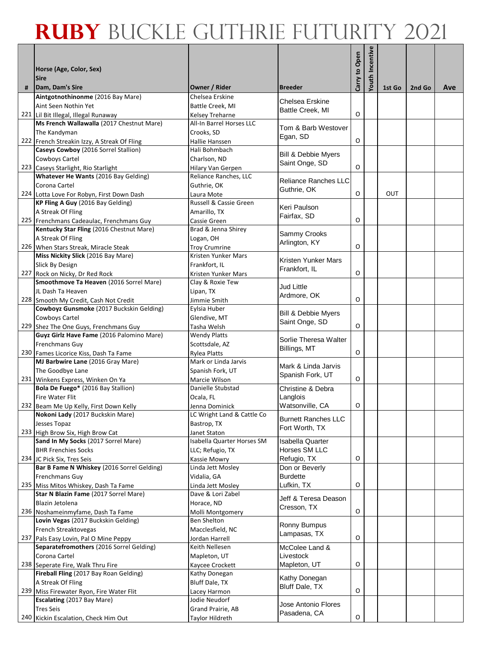|   |                                                                                    |                                             |                                |               | Youth Incentive |        |        |     |
|---|------------------------------------------------------------------------------------|---------------------------------------------|--------------------------------|---------------|-----------------|--------|--------|-----|
|   | Horse (Age, Color, Sex)                                                            |                                             |                                | Carry to Open |                 |        |        |     |
|   | <b>Sire</b>                                                                        |                                             |                                |               |                 |        |        |     |
| # | Dam, Dam's Sire                                                                    | Owner / Rider                               | <b>Breeder</b>                 |               |                 | 1st Go | 2nd Go | Ave |
|   | Aintgotnothinonme (2016 Bay Mare)<br>Aint Seen Nothin Yet                          | Chelsea Erskine                             | Chelsea Erskine                |               |                 |        |        |     |
|   | 221 Lil Bit Illegal, Illegal Runaway                                               | Battle Creek, MI<br>Kelsey Treharne         | Battle Creek, MI               | O             |                 |        |        |     |
|   | Ms French Wallawalla (2017 Chestnut Mare)                                          | All-In Barrel Horses LLC                    |                                |               |                 |        |        |     |
|   | The Kandyman                                                                       | Crooks, SD                                  | Tom & Barb Westover            |               |                 |        |        |     |
|   | 222 French Streakin Izzy, A Streak Of Fling                                        | Hallie Hanssen                              | Egan, SD                       | O             |                 |        |        |     |
|   | Caseys Cowboy (2016 Sorrel Stallion)                                               | Hali Bohmbach                               | <b>Bill &amp; Debbie Myers</b> |               |                 |        |        |     |
|   | Cowboys Cartel                                                                     | Charlson, ND                                | Saint Onge, SD                 |               |                 |        |        |     |
|   | 223 Caseys Starlight, Rio Starlight                                                | Hilary Van Gerpen                           |                                | O             |                 |        |        |     |
|   | Whatever He Wants (2016 Bay Gelding)<br>Corona Cartel                              | Reliance Ranches, LLC<br>Guthrie, OK        | Reliance Ranches LLC           |               |                 |        |        |     |
|   | 224 Lotta Love For Robyn, First Down Dash                                          | Laura Mote                                  | Guthrie, OK                    | O             |                 | OUT    |        |     |
|   | KP Fling A Guy (2016 Bay Gelding)                                                  | Russell & Cassie Green                      |                                |               |                 |        |        |     |
|   | A Streak Of Fling                                                                  | Amarillo, TX                                | Keri Paulson<br>Fairfax, SD    |               |                 |        |        |     |
|   | 225 Frenchmans Cadeaulac, Frenchmans Guy                                           | Cassie Green                                |                                | O             |                 |        |        |     |
|   | Kentucky Star Fling (2016 Chestnut Mare)                                           | Brad & Jenna Shirey                         | Sammy Crooks                   |               |                 |        |        |     |
|   | A Streak Of Fling                                                                  | Logan, OH                                   | Arlington, KY                  |               |                 |        |        |     |
|   | 226 When Stars Streak, Miracle Steak<br>Miss Nickity Slick (2016 Bay Mare)         | <b>Troy Crumrine</b><br>Kristen Yunker Mars |                                | O             |                 |        |        |     |
|   | Slick By Design                                                                    | Frankfort, IL                               | Kristen Yunker Mars            |               |                 |        |        |     |
|   | 227 Rock on Nicky, Dr Red Rock                                                     | Kristen Yunker Mars                         | Frankfort, IL                  | O             |                 |        |        |     |
|   | Smoothmove Ta Heaven (2016 Sorrel Mare)                                            | Clay & Roxie Tew                            |                                |               |                 |        |        |     |
|   | JL Dash Ta Heaven                                                                  | Lipan, TX                                   | Jud Little<br>Ardmore, OK      |               |                 |        |        |     |
|   | 228 Smooth My Credit, Cash Not Credit                                              | Jimmie Smith                                |                                | O             |                 |        |        |     |
|   | Cowboyz Gunsmoke (2017 Buckskin Gelding)                                           | Eylsia Huber                                | <b>Bill &amp; Debbie Myers</b> |               |                 |        |        |     |
|   | Cowboys Cartel                                                                     | Glendive, MT                                | Saint Onge, SD                 | O             |                 |        |        |     |
|   | 229 Shez The One Guys, Frenchmans Guy<br>Guyz Girlz Have Fame (2016 Palomino Mare) | Tasha Welsh<br><b>Wendy Platts</b>          |                                |               |                 |        |        |     |
|   | <b>Frenchmans Guy</b>                                                              | Scottsdale, AZ                              | Sorlie Theresa Walter          |               |                 |        |        |     |
|   | 230 Fames Licorice Kiss, Dash Ta Fame                                              | <b>Rylea Platts</b>                         | Billings, MT                   | O             |                 |        |        |     |
|   | MJ Barbwire Lane (2016 Gray Mare)                                                  | Mark or Linda Jarvis                        | Mark & Linda Jarvis            |               |                 |        |        |     |
|   | The Goodbye Lane                                                                   | Spanish Fork, UT                            | Spanish Fork, UT               |               |                 |        |        |     |
|   | 231 Winkens Express, Winken On Ya                                                  | Marcie Wilson                               |                                | O             |                 |        |        |     |
|   | Bola De Fuego* (2016 Bay Stallion)<br>Fire Water Flit                              | Danielle Stubstad                           | Christine & Debra<br>Langlois  |               |                 |        |        |     |
|   | 232 Beam Me Up Kelly, First Down Kelly                                             | Ocala, FL<br>Jenna Dominick                 | Watsonville, CA                | O             |                 |        |        |     |
|   | Nokoni Lady (2017 Buckskin Mare)                                                   | LC Wright Land & Cattle Co                  |                                |               |                 |        |        |     |
|   | Jesses Topaz                                                                       | Bastrop, TX                                 | <b>Burnett Ranches LLC</b>     |               |                 |        |        |     |
|   | 233 High Brow Six, High Brow Cat                                                   | Janet Staton                                | Fort Worth, TX                 |               |                 |        |        |     |
|   | Sand In My Socks (2017 Sorrel Mare)                                                | Isabella Quarter Horses SM                  | <b>Isabella Quarter</b>        |               |                 |        |        |     |
|   | <b>BHR Frenchies Socks</b>                                                         | LLC; Refugio, TX                            | Horses SM LLC                  |               |                 |        |        |     |
|   | 234 JC Pick Six, Tres Seis<br>Bar B Fame N Whiskey (2016 Sorrel Gelding)           | Kassie Mowry<br>Linda Jett Mosley           | Refugio, TX<br>Don or Beverly  | O             |                 |        |        |     |
|   | Frenchmans Guy                                                                     | Vidalia, GA                                 | <b>Burdette</b>                |               |                 |        |        |     |
|   | 235 Miss Mitos Whiskey, Dash Ta Fame                                               | Linda Jett Mosley                           | Lufkin, TX                     | O             |                 |        |        |     |
|   | Star N Blazin Fame (2017 Sorrel Mare)                                              | Dave & Lori Zabel                           | Jeff & Teresa Deason           |               |                 |        |        |     |
|   | Blazin Jetolena                                                                    | Horace, ND                                  | Cresson, TX                    |               |                 |        |        |     |
|   | 236 Noshameinmyfame, Dash Ta Fame                                                  | Molli Montgomery                            |                                | $\mathsf O$   |                 |        |        |     |
|   | Lovin Vegas (2017 Buckskin Gelding)                                                | Ben Shelton                                 | Ronny Bumpus                   |               |                 |        |        |     |
|   | French Streaktovegas<br>237 Pals Easy Lovin, Pal O Mine Peppy                      | Macclesfield, NC<br>Jordan Harrell          | Lampasas, TX                   | $\mathsf O$   |                 |        |        |     |
|   | Separatefromothers (2016 Sorrel Gelding)                                           | Keith Nellesen                              | McColee Land &                 |               |                 |        |        |     |
|   | Corona Cartel                                                                      | Mapleton, UT                                | Livestock                      |               |                 |        |        |     |
|   | 238 Seperate Fire, Walk Thru Fire                                                  | Kaycee Crockett                             | Mapleton, UT                   | O             |                 |        |        |     |
|   | Fireball Fling (2017 Bay Roan Gelding)                                             | Kathy Donegan                               | Kathy Donegan                  |               |                 |        |        |     |
|   | A Streak Of Fling                                                                  | Bluff Dale, TX                              | Bluff Dale, TX                 |               |                 |        |        |     |
|   | 239 Miss Firewater Ryon, Fire Water Flit<br>Escalating (2017 Bay Mare)             | Lacey Harmon<br>Jodie Neudorf               |                                | O             |                 |        |        |     |
|   | <b>Tres Seis</b>                                                                   | Grand Prairie, AB                           | Jose Antonio Flores            |               |                 |        |        |     |
|   | 240 Kickin Escalation, Check Him Out                                               | <b>Taylor Hildreth</b>                      | Pasadena, CA                   | O             |                 |        |        |     |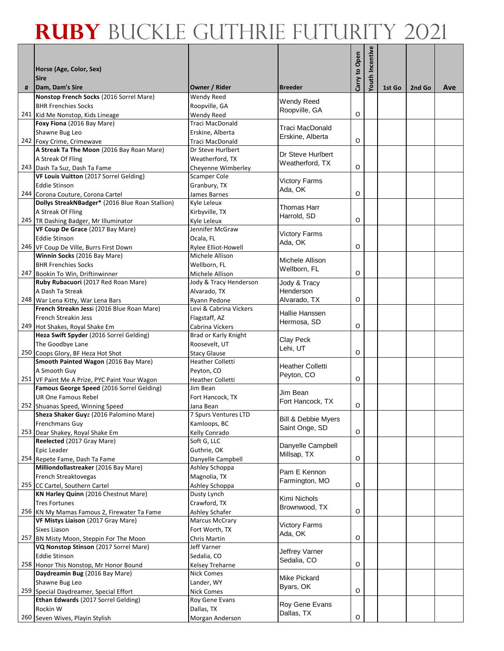|   |                                                                            |                                      |                                       |               | Youth Incentive |        |        |     |
|---|----------------------------------------------------------------------------|--------------------------------------|---------------------------------------|---------------|-----------------|--------|--------|-----|
|   | Horse (Age, Color, Sex)                                                    |                                      |                                       | Carry to Open |                 |        |        |     |
|   | <b>Sire</b>                                                                |                                      |                                       |               |                 |        |        |     |
| # | Dam, Dam's Sire                                                            | Owner / Rider                        | <b>Breeder</b>                        |               |                 | 1st Go | 2nd Go | Ave |
|   | Nonstop French Socks (2016 Sorrel Mare)                                    | <b>Wendy Reed</b>                    | <b>Wendy Reed</b>                     |               |                 |        |        |     |
|   | <b>BHR Frenchies Socks</b><br>241 Kid Me Nonstop, Kids Lineage             | Roopville, GA<br>Wendy Reed          | Roopville, GA                         | O             |                 |        |        |     |
|   | Foxy Fiona (2016 Bay Mare)                                                 | Traci MacDonald                      |                                       |               |                 |        |        |     |
|   | Shawne Bug Leo                                                             | Erskine, Alberta                     | Traci MacDonald<br>Erskine, Alberta   |               |                 |        |        |     |
|   | 242 Foxy Crime, Crimewave                                                  | Traci MacDonald                      |                                       | O             |                 |        |        |     |
|   | A Streak Ta The Moon (2016 Bay Roan Mare)                                  | Dr Steve Hurlbert                    | Dr Steve Hurlbert                     |               |                 |        |        |     |
|   | A Streak Of Fling                                                          | Weatherford, TX                      | Weatherford, TX                       |               |                 |        |        |     |
|   | 243 Dash Ta Suz, Dash Ta Fame                                              | Cheyenne Wimberley                   |                                       | O             |                 |        |        |     |
|   | VF Louis Vuitton (2017 Sorrel Gelding)<br><b>Eddie Stinson</b>             | Scamper Cole                         | <b>Victory Farms</b>                  |               |                 |        |        |     |
|   | 244 Corona Couture, Corona Cartel                                          | Granbury, TX<br>James Barnes         | Ada, OK                               | O             |                 |        |        |     |
|   | Dollys StreakNBadger* (2016 Blue Roan Stallion)                            | Kyle Leleux                          |                                       |               |                 |        |        |     |
|   | A Streak Of Fling                                                          | Kirbyville, TX                       | Thomas Harr                           |               |                 |        |        |     |
|   | 245 TR Dashing Badger, Mr Illuminator                                      | Kyle Leleux                          | Harrold, SD                           | O             |                 |        |        |     |
|   | VF Coup De Grace (2017 Bay Mare)                                           | Jennifer McGraw                      | <b>Victory Farms</b>                  |               |                 |        |        |     |
|   | <b>Eddie Stinson</b>                                                       | Ocala, FL                            | Ada, OK                               |               |                 |        |        |     |
|   | 246 VF Coup De Ville, Burrs First Down                                     | Rylee Elliot-Howell                  |                                       | O             |                 |        |        |     |
|   | Winnin Socks (2016 Bay Mare)<br><b>BHR Frenchies Socks</b>                 | Michele Allison<br>Wellborn, FL      | Michele Allison                       |               |                 |        |        |     |
|   | 247 Bookin To Win, Driftinwinner                                           | Michele Allison                      | Wellborn, FL                          | O             |                 |        |        |     |
|   | Ruby Rubacuori (2017 Red Roan Mare)                                        | Jody & Tracy Henderson               | Jody & Tracy                          |               |                 |        |        |     |
|   | A Dash Ta Streak                                                           | Alvarado, TX                         | Henderson                             |               |                 |        |        |     |
|   | 248 War Lena Kitty, War Lena Bars                                          | Ryann Pedone                         | Alvarado, TX                          | O             |                 |        |        |     |
|   | French Streakn Jessi (2016 Blue Roan Mare)                                 | Levi & Cabrina Vickers               | Hallie Hanssen                        |               |                 |        |        |     |
|   | French Streakin Jess                                                       | Flagstaff, AZ                        | Hermosa, SD                           |               |                 |        |        |     |
|   | 249 Hot Shakes, Royal Shake Em                                             | Cabrina Vickers                      |                                       | O             |                 |        |        |     |
|   | Heza Swift Spyder (2016 Sorrel Gelding)<br>The Goodbye Lane                | Brad or Karly Knight                 | Clay Peck                             |               |                 |        |        |     |
|   | 250 Coops Glory, BF Heza Hot Shot                                          | Roosevelt, UT<br><b>Stacy Glause</b> | Lehi, UT                              | O             |                 |        |        |     |
|   | Smooth Painted Wagon (2016 Bay Mare)                                       | <b>Heather Colletti</b>              |                                       |               |                 |        |        |     |
|   | A Smooth Guy                                                               | Peyton, CO                           | <b>Heather Colletti</b><br>Peyton, CO |               |                 |        |        |     |
|   | 251 VF Paint Me A Prize, PYC Paint Your Wagon                              | <b>Heather Colletti</b>              |                                       | O             |                 |        |        |     |
|   | Famous George Speed (2016 Sorrel Gelding)                                  | Jim Bean                             | Jim Bean                              |               |                 |        |        |     |
|   | <b>UR One Famous Rebel</b>                                                 | Fort Hancock, TX                     | Fort Hancock, TX                      | O             |                 |        |        |     |
|   | 252 Shuanas Speed, Winning Speed<br>Sheza Shaker Guyz (2016 Palomino Mare) | Jana Bean<br>7 Spurs Ventures LTD    |                                       |               |                 |        |        |     |
|   | Frenchmans Guy                                                             | Kamloops, BC                         | Bill & Debbie Myers                   |               |                 |        |        |     |
|   | 253 Dear Shakey, Royal Shake Em                                            | Kelly Conrado                        | Saint Onge, SD                        | $\mathsf O$   |                 |        |        |     |
|   | Reelected (2017 Gray Mare)                                                 | Soft G, LLC                          | Danyelle Campbell                     |               |                 |        |        |     |
|   | Epic Leader                                                                | Guthrie, OK                          | Millsap, TX                           |               |                 |        |        |     |
|   | 254 Repete Fame, Dash Ta Fame                                              | Danyelle Campbell                    |                                       | O             |                 |        |        |     |
|   | Milliondollastreaker (2016 Bay Mare)                                       | Ashley Schoppa                       | Pam E Kennon                          |               |                 |        |        |     |
|   | French Streaktovegas<br>255 CC Cartel, Southern Cartel                     | Magnolia, TX<br>Ashley Schoppa       | Farmington, MO                        | O             |                 |        |        |     |
|   | KN Harley Quinn (2016 Chestnut Mare)                                       | Dusty Lynch                          |                                       |               |                 |        |        |     |
|   | <b>Tres Fortunes</b>                                                       | Crawford, TX                         | Kimi Nichols                          |               |                 |        |        |     |
|   | 256 KN My Mamas Famous 2, Firewater Ta Fame                                | Ashley Schafer                       | Brownwood, TX                         | O             |                 |        |        |     |
|   | VF Mistys Liaison (2017 Gray Mare)                                         | Marcus McCrary                       | <b>Victory Farms</b>                  |               |                 |        |        |     |
|   | Sixes Liason                                                               | Fort Worth, TX                       | Ada, OK                               |               |                 |        |        |     |
|   | 257 BN Misty Moon, Steppin For The Moon                                    | Chris Martin                         |                                       | O             |                 |        |        |     |
|   | VQ Nonstop Stinson (2017 Sorrel Mare)<br><b>Eddie Stinson</b>              | Jeff Varner<br>Sedalia, CO           | Jeffrey Varner                        |               |                 |        |        |     |
|   | 258 Honor This Nonstop, Mr Honor Bound                                     | Kelsey Treharne                      | Sedalia, CO                           | O             |                 |        |        |     |
|   | Daydreamin Bug (2016 Bay Mare)                                             | <b>Nick Comes</b>                    |                                       |               |                 |        |        |     |
|   | Shawne Bug Leo                                                             | Lander, WY                           | Mike Pickard<br>Byars, OK             |               |                 |        |        |     |
|   | 259 Special Daydreamer, Special Effort                                     | <b>Nick Comes</b>                    |                                       | O             |                 |        |        |     |
|   | Ethan Edwards (2017 Sorrel Gelding)                                        | Roy Gene Evans                       | Roy Gene Evans                        |               |                 |        |        |     |
|   | Rockin W                                                                   | Dallas, TX                           | Dallas, TX                            | O             |                 |        |        |     |
|   | 260 Seven Wives, Playin Stylish                                            | Morgan Anderson                      |                                       |               |                 |        |        |     |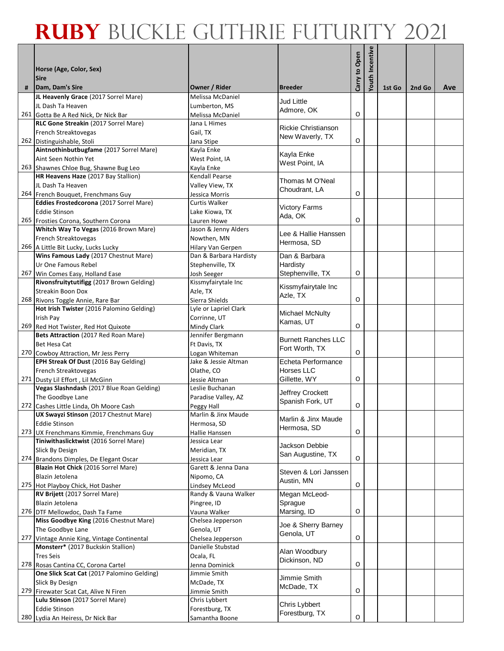|     |                                                                               |                                     |                                     |               | Youth Incentive |        |        |     |
|-----|-------------------------------------------------------------------------------|-------------------------------------|-------------------------------------|---------------|-----------------|--------|--------|-----|
|     | Horse (Age, Color, Sex)                                                       |                                     |                                     | Carry to Open |                 |        |        |     |
|     | <b>Sire</b><br>Dam, Dam's Sire                                                |                                     | <b>Breeder</b>                      |               |                 |        |        |     |
| #   | JL Heavenly Grace (2017 Sorrel Mare)                                          | Owner / Rider<br>Melissa McDaniel   |                                     |               |                 | 1st Go | 2nd Go | Ave |
|     | JL Dash Ta Heaven                                                             | Lumberton, MS                       | <b>Jud Little</b>                   |               |                 |        |        |     |
|     | 261 Gotta Be A Red Nick, Dr Nick Bar                                          | Melissa McDaniel                    | Admore, OK                          | O             |                 |        |        |     |
|     | RLC Gone Streakin (2017 Sorrel Mare)                                          | Jana L Himes                        | Rickie Christianson                 |               |                 |        |        |     |
|     | French Streaktovegas                                                          | Gail, TX                            | New Waverly, TX                     |               |                 |        |        |     |
|     | 262 Distinguishable, Stoli                                                    | Jana Stipe                          |                                     | O             |                 |        |        |     |
|     | Aintnothinbutbugfame (2017 Sorrel Mare)<br>Aint Seen Nothin Yet               | Kayla Enke                          | Kayla Enke                          |               |                 |        |        |     |
|     | 263 Shawnes Chloe Bug, Shawne Bug Leo                                         | West Point, IA                      | West Point, IA                      |               |                 |        |        |     |
|     | HR Heavens Haze (2017 Bay Stallion)                                           | Kayla Enke<br>Kendall Pearse        |                                     |               |                 |        |        |     |
|     | JL Dash Ta Heaven                                                             | Valley View, TX                     | Thomas M O'Neal                     |               |                 |        |        |     |
|     | 264 French Bouquet, Frenchmans Guy                                            | Jessica Morris                      | Choudrant, LA                       | O             |                 |        |        |     |
|     | Eddies Frostedcorona (2017 Sorrel Mare)                                       | Curtis Walker                       |                                     |               |                 |        |        |     |
|     | <b>Eddie Stinson</b>                                                          | Lake Kiowa, TX                      | <b>Victory Farms</b><br>Ada, OK     |               |                 |        |        |     |
|     | 265 Frosties Corona, Southern Corona                                          | Lauren Howe                         |                                     | O             |                 |        |        |     |
|     | Whitch Way To Vegas (2016 Brown Mare)                                         | Jason & Jenny Alders                | Lee & Hallie Hanssen                |               |                 |        |        |     |
|     | French Streaktovegas                                                          | Nowthen, MN                         | Hermosa, SD                         |               |                 |        |        |     |
|     | 266 A Little Bit Lucky, Lucks Lucky                                           | Hilary Van Gerpen                   |                                     |               |                 |        |        |     |
|     | Wins Famous Lady (2017 Chestnut Mare)<br>Ur One Famous Rebel                  | Dan & Barbara Hardisty              | Dan & Barbara<br>Hardisty           |               |                 |        |        |     |
|     | 267 Win Comes Easy, Holland Ease                                              | Stephenville, TX<br>Josh Seeger     | Stephenville, TX                    | O             |                 |        |        |     |
|     | Rivonsfruitytutifigg (2017 Brown Gelding)                                     | Kissmyfairytale Inc                 |                                     |               |                 |        |        |     |
|     | Streakin Boon Dox                                                             | Azle, TX                            | Kissmyfairytale Inc                 |               |                 |        |        |     |
|     | 268 Rivons Toggle Annie, Rare Bar                                             | Sierra Shields                      | Azle, TX                            | O             |                 |        |        |     |
|     | Hot Irish Twister (2016 Palomino Gelding)                                     | Lyle or Lapriel Clark               |                                     |               |                 |        |        |     |
|     | Irish Pay                                                                     | Corrinne, UT                        | <b>Michael McNulty</b><br>Kamas, UT |               |                 |        |        |     |
| 269 | Red Hot Twister, Red Hot Quixote                                              | Mindy Clark                         |                                     | O             |                 |        |        |     |
|     | Bets Attraction (2017 Red Roan Mare)                                          | Jennifer Bergmann                   | <b>Burnett Ranches LLC</b>          |               |                 |        |        |     |
|     | Bet Hesa Cat                                                                  | Ft Davis, TX                        | Fort Worth, TX                      |               |                 |        |        |     |
|     | 270 Cowboy Attraction, Mr Jess Perry                                          | Logan Whiteman                      |                                     | O             |                 |        |        |     |
|     | EPH Streak Of Dust (2016 Bay Gelding)                                         | Jake & Jessie Altman<br>Olathe, CO  | Echeta Performance<br>Horses LLC    |               |                 |        |        |     |
|     | French Streaktovegas<br>271 Dusty Lil Effort, Lil McGinn                      | Jessie Altman                       | Gillette, WY                        | O             |                 |        |        |     |
|     | Vegas Slashndash (2017 Blue Roan Gelding)                                     | Leslie Buchanan                     |                                     |               |                 |        |        |     |
|     | The Goodbye Lane                                                              | Paradise Valley, AZ                 | Jeffrey Crockett                    |               |                 |        |        |     |
|     | 272 Cashes Little Linda, Oh Moore Cash                                        | Peggy Hall                          | Spanish Fork, UT                    | O             |                 |        |        |     |
|     | UX Swayzi Stinson (2017 Chestnut Mare)                                        | Marlin & Jinx Maude                 | Marlin & Jinx Maude                 |               |                 |        |        |     |
|     | <b>Eddie Stinson</b>                                                          | Hermosa, SD                         | Hermosa, SD                         |               |                 |        |        |     |
| 273 | UX Frenchmans Kimmie, Frenchmans Guy                                          | Hallie Hanssen                      |                                     | $\mathsf O$   |                 |        |        |     |
|     | Tiniwithaslicktwist (2016 Sorrel Mare)                                        | Jessica Lear                        | Jackson Debbie                      |               |                 |        |        |     |
|     | Slick By Design                                                               | Meridian, TX                        | San Augustine, TX                   |               |                 |        |        |     |
|     | 274 Brandons Dimples, De Elegant Oscar<br>Blazin Hot Chick (2016 Sorrel Mare) | Jessica Lear<br>Garett & Jenna Dana |                                     | O             |                 |        |        |     |
|     | Blazin Jetolena                                                               | Nipomo, CA                          | Steven & Lori Janssen               |               |                 |        |        |     |
|     | 275 Hot Playboy Chick, Hot Dasher                                             | Lindsey McLeod                      | Austin, MN                          | O             |                 |        |        |     |
|     | RV Brijett (2017 Sorrel Mare)                                                 | Randy & Vauna Walker                | Megan McLeod-                       |               |                 |        |        |     |
|     | Blazin Jetolena                                                               | Pingree, ID                         | Sprague                             |               |                 |        |        |     |
|     | 276 DTF Mellowdoc, Dash Ta Fame                                               | Vauna Walker                        | Marsing, ID                         | O             |                 |        |        |     |
|     | Miss Goodbye King (2016 Chestnut Mare)                                        | Chelsea Jepperson                   | Joe & Sherry Barney                 |               |                 |        |        |     |
|     | The Goodbye Lane                                                              | Genola, UT                          | Genola, UT                          |               |                 |        |        |     |
| 277 | Vintage Annie King, Vintage Continental                                       | Chelsea Jepperson                   |                                     | $\mathsf O$   |                 |        |        |     |
|     | Monsterr* (2017 Buckskin Stallion)                                            | Danielle Stubstad                   | Alan Woodbury                       |               |                 |        |        |     |
|     | <b>Tres Seis</b>                                                              | Ocala, FL                           | Dickinson, ND                       |               |                 |        |        |     |
|     | 278 Rosas Cantina CC, Corona Cartel                                           | Jenna Dominick                      |                                     | O             |                 |        |        |     |
|     | One Slick Scat Cat (2017 Palomino Gelding)                                    | Jimmie Smith<br>McDade, TX          | Jimmie Smith                        |               |                 |        |        |     |
|     | Slick By Design<br>279 Firewater Scat Cat, Alive N Firen                      | Jimmie Smith                        | McDade, TX                          | O             |                 |        |        |     |
|     | Lulu Stinson (2017 Sorrel Mare)                                               | Chris Lybbert                       |                                     |               |                 |        |        |     |
|     | <b>Eddie Stinson</b>                                                          | Forestburg, TX                      | Chris Lybbert                       |               |                 |        |        |     |
|     | 280 Lydia An Heiress, Dr Nick Bar                                             | Samantha Boone                      | Forestburg, TX                      | O             |                 |        |        |     |